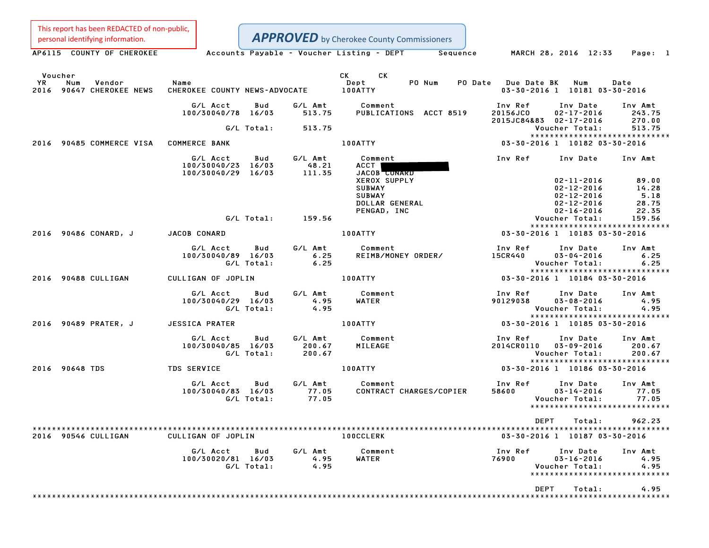This report has been REDACTED of non-public, personal identifying information.

| personal identifying information.                          |                                                      |                                    | <b>APPROVED</b> by Cherokee County Commissioners                        |                                                                                                     |                                 |
|------------------------------------------------------------|------------------------------------------------------|------------------------------------|-------------------------------------------------------------------------|-----------------------------------------------------------------------------------------------------|---------------------------------|
| AP6115 COUNTY OF CHEROKEE                                  |                                                      |                                    | Accounts Payable - Voucher Listing - DEPT Sequence                      | MARCH 28, 2016 12:33                                                                                | Page: 1                         |
| Voucher<br>YR<br>Num<br>Vendor<br>2016 90647 CHEROKEE NEWS | Name<br>CHEROKEE COUNTY NEWS-ADVOCATE                |                                    | CK<br>СK<br>PO Num<br>Dept<br><b>100ATTY</b>                            | PO Date Due Date BK<br>Num<br>03-30-2016 1 10181 03-30-2016                                         | Date                            |
|                                                            | G/L Acct<br>Bud<br>100/30040/78 16/03                | G/L Amt<br>513.75                  | Comment<br>PUBLICATIONS ACCT 8519                                       | Inv Ref<br>Inv Date<br>20156JC0<br>$02 - 17 - 2016$<br>2015JC84&83 02-17-2016                       | Inv Amt<br>243.75<br>270.00     |
|                                                            | G/L Total:                                           | 513.75                             |                                                                         | Voucher Total:                                                                                      | 513.75                          |
| 2016 90485 COMMERCE VISA                                   | <b>COMMERCE BANK</b>                                 |                                    | 100ATTY                                                                 | *****************************<br>03-30-2016 1 10182 03-30-2016                                      |                                 |
|                                                            | G/L Acct<br>100/30040/23 16/03<br>100/30040/29 16/03 | Bud<br>G/L Amt<br>48.21<br>111.35  | Comment<br>ACCT  <br>JACOB CONARD                                       | Inv Ref<br>Inv Date                                                                                 | Inv Amt                         |
|                                                            |                                                      |                                    | <b>XEROX SUPPLY</b><br><b>SUBWAY</b><br><b>SUBWAY</b><br>DOLLAR GENERAL | $02 - 11 - 2016$<br>$02 - 12 - 2016$<br>$02 - 12 - 2016$<br>$02 - 12 - 2016$                        | 89.00<br>14.28<br>5.18<br>28.75 |
|                                                            | G/L Total:                                           | 159.56                             | PENGAD, INC                                                             | $02 - 16 - 2016$<br>Voucher Total:                                                                  | 22.35<br>159.56                 |
| 2016 90486 CONARD, J                                       | <b>JACOB CONARD</b>                                  |                                    | 100ATTY                                                                 | *****************************<br>03-30-2016 1 10183 03-30-2016                                      |                                 |
|                                                            | G/L Acct<br>100/30040/89 16/03<br>G/L Total:         | G/L Amt<br>Bud<br>6.25<br>6.25     | Comment<br>REIMB/MONEY ORDER/                                           | Inv Ref<br>Inv Date<br>15CR440<br>$03 - 04 - 2016$<br>Voucher Total:                                | Inv Amt<br>6.25<br>6.25         |
| 2016 90488 CULLIGAN                                        | CULLIGAN OF JOPLIN                                   |                                    | 100ATTY                                                                 | *****************************<br>03-30-2016 1 10184 03-30-2016                                      |                                 |
|                                                            | G/L Acct<br>Bud<br>100/30040/29 16/03<br>G/L Total:  | G/L Amt<br>4.95<br>4.95            | Comment<br>WATER                                                        | Inv Ref<br>Inv Date<br>90129038<br>$03 - 08 - 2016$<br>Voucher Total:                               | Inv Amt<br>4.95<br>4.95         |
| 2016 90489 PRATER, J                                       | <b>JESSICA PRATER</b>                                |                                    | 100ATTY                                                                 | *****************************<br>03-30-2016 1 10185 03-30-2016                                      |                                 |
|                                                            | G/L Acct<br>100/30040/85 16/03<br>G/L Total:         | G/L Amt<br>Bud<br>200.67<br>200.67 | Comment<br>MILEAGE                                                      | Inv Ref<br>Inv Date<br>2014CR0110<br>$03 - 09 - 2016$<br>Voucher Total:                             | Inv Amt<br>200.67<br>200.67     |
| 2016 90648 TDS                                             | <b>TDS SERVICE</b>                                   |                                    | 100ATTY                                                                 | *****************************<br>03-30-2016 1 10186 03-30-2016                                      |                                 |
|                                                            | G/L Acct<br>100/30040/83 16/03<br>G/L Total:         | G/L Amt<br>Bud<br>77.05<br>77.05   | Comment<br>CONTRACT CHARGES/COPIER                                      | Inv Ref<br>Inv Date<br>58600<br>$03 - 14 - 2016$<br>Voucher Total:<br>***************************** | Inv Amt<br>77.05<br>77.05       |
|                                                            |                                                      |                                    |                                                                         | <b>DEPT</b><br>Total:                                                                               | 962.23                          |
| 2016 90546 CULLIGAN                                        | CULLIGAN OF JOPLIN                                   |                                    | <b>100CCLERK</b>                                                        | 03-30-2016 1 10187 03-30-2016                                                                       |                                 |
|                                                            | G/L Acct<br>100/30020/81 16/03<br>G/L Total:         | G/L Amt<br>Bud<br>4.95<br>4.95     | Comment<br>WATER                                                        | Inv Ref<br>Inv Date<br>76900<br>$03 - 16 - 2016$<br>Voucher Total:<br>***************************** | Inv Amt<br>4.95<br>4.95         |
|                                                            |                                                      |                                    |                                                                         | <b>DEPT</b><br>Total:                                                                               | 4.95                            |
|                                                            |                                                      |                                    |                                                                         |                                                                                                     |                                 |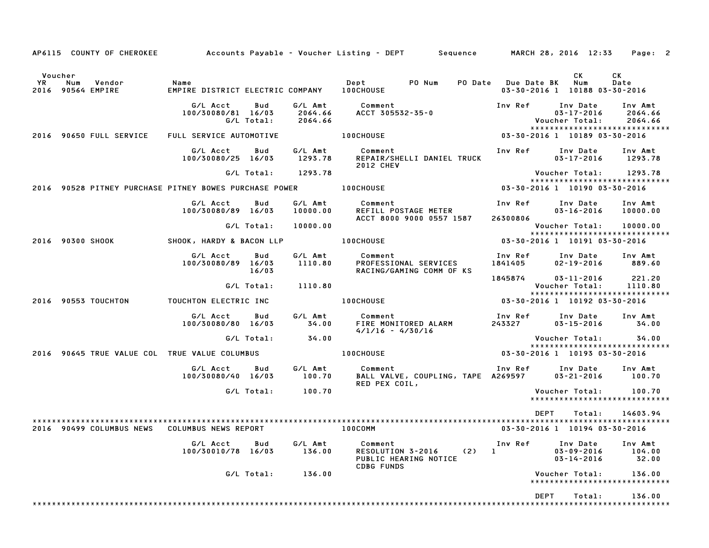|                  |     | AP6115 COUNTY OF CHEROKEE   |                                                          |                   |                               | Accounts Payable – Voucher Listing – DEPT         Sequence         MARCH 28, 2016 12:33 |     |                               |                                                  | Page: 2                                                        |
|------------------|-----|-----------------------------|----------------------------------------------------------|-------------------|-------------------------------|-----------------------------------------------------------------------------------------|-----|-------------------------------|--------------------------------------------------|----------------------------------------------------------------|
| Voucher          |     |                             |                                                          |                   |                               |                                                                                         |     |                               | CK                                               | CK                                                             |
| YR               | Num | Vendor<br>2016 90564 EMPIRE | Name<br>EMPIRE DISTRICT ELECTRIC COMPANY 100CHOUSE       |                   |                               | PO Num<br>Dept                                                                          |     | PO Date Due Date BK           | Num<br>03-30-2016 1 10188 03-30-2016             | Date                                                           |
|                  |     |                             | G/L Acct<br>100/30080/81 16/03                           | Bud<br>G/L Total: | G/L Amt<br>2064.66<br>2064.66 | Comment<br>ACCT 305532-35-0                                                             |     | Inv Ref                       | Inv Date<br>$03 - 17 - 2016$<br>Voucher Total:   | Inv Amt<br>2064.66<br>2064.66<br>***************************** |
|                  |     | 2016 90650 FULL SERVICE     | FULL SERVICE AUTOMOTIVE                                  |                   |                               | <b>100CHOUSE</b>                                                                        |     | 03-30-2016 1 10189 03-30-2016 |                                                  |                                                                |
|                  |     |                             | G/L Acct<br>100/30080/25 16/03                           | Bud               | G/L Amt<br>1293.78            | Comment<br>REPAIR/SHELLI DANIEL TRUCK<br><b>2012 CHEV</b>                               |     | Inv Ref                       | Inv Date<br>$03 - 17 - 2016$                     | Inv Amt<br>1293.78                                             |
|                  |     |                             |                                                          | G/L Total:        | 1293.78                       |                                                                                         |     |                               | Voucher Total:                                   | 1293.78                                                        |
|                  |     |                             | 2016   90528 PITNEY PURCHASE PITNEY BOWES PURCHASE POWER |                   |                               | <b>100CHOUSE</b>                                                                        |     |                               | 03-30-2016 1 10190 03-30-2016                    | *****************************                                  |
|                  |     |                             | G/L Acct<br>100/30080/89 16/03                           | Bud               | G/L Amt<br>10000.00           | Comment<br>REFILL POSTAGE METER                                                         |     | Inv Ref                       | Inv Date<br>$03 - 16 - 2016$                     | Inv Amt<br>10000.00                                            |
|                  |     |                             |                                                          | G/L Total:        | 10000.00                      | ACCT 8000 9000 0557 1587                                                                |     | 26300806                      | Voucher Total:                                   | 10000.00                                                       |
|                  |     |                             |                                                          |                   |                               |                                                                                         |     |                               |                                                  | *****************************                                  |
| 2016 90300 SHOOK |     |                             | SHOOK, HARDY & BACON LLP <b>100CHOUSE</b>                |                   |                               |                                                                                         |     | 03-30-2016 1 10191 03-30-2016 |                                                  |                                                                |
|                  |     |                             | G/L Acct<br>100/30080/89 16/03                           | Bud<br>16/03      | G/L Amt<br>1110.80            | Comment<br>PROFESSIONAL SERVICES<br>RACING/GAMING COMM OF KS                            |     | Inv Ref<br>1841405            | Inv Date<br>$02 - 19 - 2016$                     | Inv Amt<br>889.60                                              |
|                  |     |                             |                                                          |                   |                               |                                                                                         |     | 1845874                       | $03 - 11 - 2016$                                 | 221.20                                                         |
|                  |     |                             |                                                          | G/L Total:        | 1110.80                       |                                                                                         |     |                               | Voucher Total:                                   | 1110.80<br>*****************************                       |
|                  |     | 2016 90553 TOUCHTON         | TOUCHTON ELECTRIC INC                                    |                   |                               | <b>100CHOUSE</b>                                                                        |     |                               | 03-30-2016 1 10192 03-30-2016                    |                                                                |
|                  |     |                             | G/L Acct<br>100/30080/80 16/03                           | Bud               | G/L Amt<br>34.00              | Comment<br>FIRE MONITORED ALARM<br>$4/1/16 - 4/30/16$                                   |     | Inv Ref<br>243327             | Inv Date<br>$03 - 15 - 2016$                     | Inv Amt<br>34.00                                               |
|                  |     |                             |                                                          | G/L Total:        | 34.00                         |                                                                                         |     |                               | Voucher Total:                                   | 34.00                                                          |
|                  |     |                             | 2016 90645 TRUE VALUE COL TRUE VALUE COLUMBUS            |                   |                               | <b>100CHOUSE</b>                                                                        |     |                               | 03-30-2016 1 10193 03-30-2016                    | *****************************                                  |
|                  |     |                             | G/L Acct<br>100/30080/40 16/03                           | Bud               | G/L Amt<br>100.70             | Comment<br>BALL VALVE, COUPLING, TAPE A269597<br>RED PEX COIL,                          |     | Inv Ref                       | Inv Date<br>03-21-2016                           | Inv Amt<br>100.70                                              |
|                  |     |                             |                                                          | G/L Total:        | 100.70                        |                                                                                         |     |                               | Voucher Total:                                   | 100.70<br>*****************************                        |
|                  |     | 2016 90499 COLUMBUS NEWS    | COLUMBUS NEWS REPORT                                     |                   |                               | 100COMM                                                                                 |     | DEPT                          | Total:<br>03-30-2016 1 10194 03-30-2016          | 14603.94                                                       |
|                  |     |                             | G/L Acct<br>100/30010/78 16/03                           | Bud               | G/L Amt<br>136.00             | Comment<br>RESOLUTION 3-2016<br>PUBLIC HEARING NOTICE                                   | (2) | Inv Ref<br>1                  | Inv Date<br>$03 - 09 - 2016$<br>$03 - 14 - 2016$ | Inv Amt<br>104.00<br>32.00                                     |
|                  |     |                             |                                                          | G/L Total:        | 136.00                        | <b>CDBG FUNDS</b>                                                                       |     |                               | Voucher Total:                                   | 136.00                                                         |
|                  |     |                             |                                                          |                   |                               |                                                                                         |     |                               |                                                  | ******************************                                 |
|                  |     |                             |                                                          |                   |                               |                                                                                         |     | DEPT                          | Total:                                           | 136.00                                                         |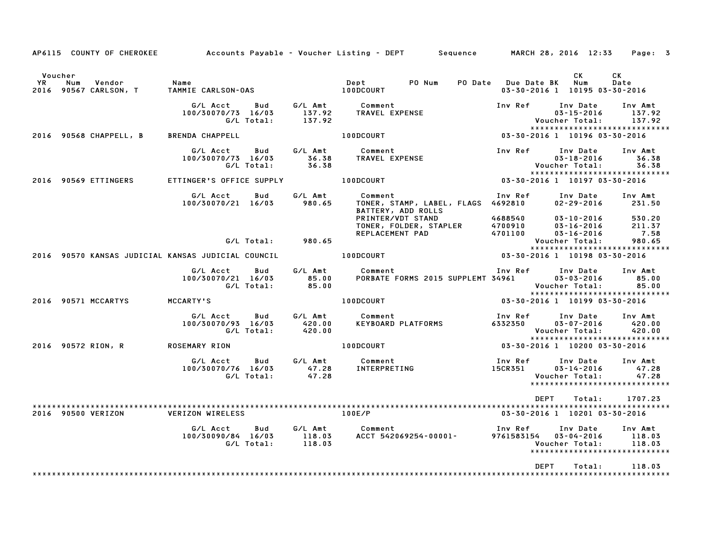|               |     |                                 |                                                    |                   |                             | AP6115 COUNTY OF CHEROKEE Accounts Payable – Voucher Listing – DEPT Sequence MARCH 28, 2016 12:33 |                               |                                                                                      | Page: 3                            |
|---------------|-----|---------------------------------|----------------------------------------------------|-------------------|-----------------------------|---------------------------------------------------------------------------------------------------|-------------------------------|--------------------------------------------------------------------------------------|------------------------------------|
| Voucher<br>YR | Num | Vendor<br>2016 90567 CARLSON, T | Name<br>TAMMIE CARLSON-OAS                         |                   |                             | PO Num<br>Dept<br>100DCOURT                                                                       | PO Date Due Date BK           | CK<br>Num<br>03-30-2016 1 10195 03-30-2016                                           | CK<br>Date                         |
|               |     |                                 | G/L Acct<br>100/30070/73 16/03                     | Bud<br>G/L Total: | G/L Amt<br>137.92<br>137.92 | Comment<br>TRAVEL EXPENSE                                                                         | Inv Ref                       | Inv Date<br>$03 - 15 - 2016$<br>Voucher Total:                                       | Inv Amt<br>137.92<br>137.92        |
|               |     | 2016 90568 CHAPPELL, B          | <b>BRENDA CHAPPELL</b>                             |                   |                             | 100DCOURT                                                                                         |                               | *****************************<br>03-30-2016 1 10196 03-30-2016                       |                                    |
|               |     |                                 | G/L Acct<br>100/30070/73 16/03                     | Bud<br>G/L Total: | G/L Amt<br>36.38<br>36.38   | Comment<br>TRAVEL EXPENSE                                                                         | Inv Ref                       | Inv Date<br>$03 - 18 - 2016$<br>Voucher Total:                                       | Inv Amt<br>36.38<br>36.38          |
|               |     | 2016 90569 ETTINGERS            | ETTINGER'S OFFICE SUPPLY                           |                   |                             | 100DCOURT                                                                                         |                               | *****************************<br>03-30-2016 1 10197 03-30-2016                       |                                    |
|               |     |                                 | G/L Acct<br>100/30070/21 16/03                     | Bud               | G/L Amt<br>980.65           | Comment<br>TONER, STAMP, LABEL, FLAGS 4692810<br>BATTERY, ADD ROLLS                               | Inv Ref                       | Inv Date<br>$02 - 29 - 2016$                                                         | Inv Amt<br>231.50                  |
|               |     |                                 |                                                    |                   | G/L Total: 980.65           | rkinier/VDT STAND<br>TONER, FOLDER, STAPLER<br>REPLACEMENT PAD                                    | 4688540<br>4700910<br>4701100 | 03-10-2016<br>$03 - 16 - 2016$<br>$03 - 16 - 2016$<br>Voucher Total:                 | 530.20<br>211.37<br>7.58<br>980.65 |
|               |     |                                 | 2016 90570 KANSAS JUDICIAL KANSAS JUDICIAL COUNCIL |                   |                             | 100DCOURT                                                                                         |                               | *****************************<br>03-30-2016 1 10198 03-30-2016                       |                                    |
|               |     |                                 | G/L Acct<br>100/30070/21 16/03                     | Bud<br>G/L Total: | G/L Amt<br>85.00<br>85.00   | Comment<br>PORBATE FORMS 2015 SUPPLEMT 34961                                                      | Inv Ref                       | Inv Date<br>03-03-2016<br>Voucher Total:                                             | Inv Amt<br>85.00<br>85.00          |
|               |     | 2016 90571 MCCARTYS             | MCCARTY'S                                          |                   |                             | 100DCOURT                                                                                         |                               | *****************************<br>03-30-2016 1 10199 03-30-2016                       |                                    |
|               |     |                                 | G/L Acct<br>100/30070/93 16/03                     | Bud<br>G/L Total: | G/L Amt<br>420.00<br>420.00 | Comment<br>KEYBOARD PLATFORMS                                                                     | Inv Ref<br>6332350            | Inv Date<br>03-07-2016<br>Voucher Total:<br>*****************************            | Inv Amt<br>420.00<br>420.00        |
|               |     | 2016 90572 RION, R              | ROSEMARY RION                                      |                   |                             | 100DCOURT                                                                                         |                               | 03-30-2016 1 10200 03-30-2016                                                        |                                    |
|               |     |                                 | G/L Acct<br>100/30070/76 16/03                     | Bud<br>G/L Total: | G/L Amt<br>47.28<br>47.28   | Comment<br>INTERPRETING                                                                           | Inv Ref<br>15CR351            | Inv Date<br>$03 - 14 - 2016$<br>Voucher Total:<br>*****************************      | Inv Amt<br>47.28<br>47.28          |
|               |     | 2016 90500 VERIZON              | VERIZON WIRELESS                                   |                   |                             | 100E/P                                                                                            | <b>DEPT</b>                   | Total:<br>03-30-2016 1 10201 03-30-2016                                              | 1707.23                            |
|               |     |                                 | G/L Acct<br>100/30090/84 16/03                     | Bud<br>G/L Total: | 118.03                      | G/L Amt Comment<br>118.03 ACCT 542069254-00001-                                                   | Inv Ref                       | Inv Date<br>9761583154 03-04-2016<br>Voucher Total:<br>***************************** | Inv Amt<br>118.03<br>118.03        |
|               |     |                                 |                                                    |                   |                             |                                                                                                   | <b>DEPT</b>                   | Total:                                                                               | 118.03                             |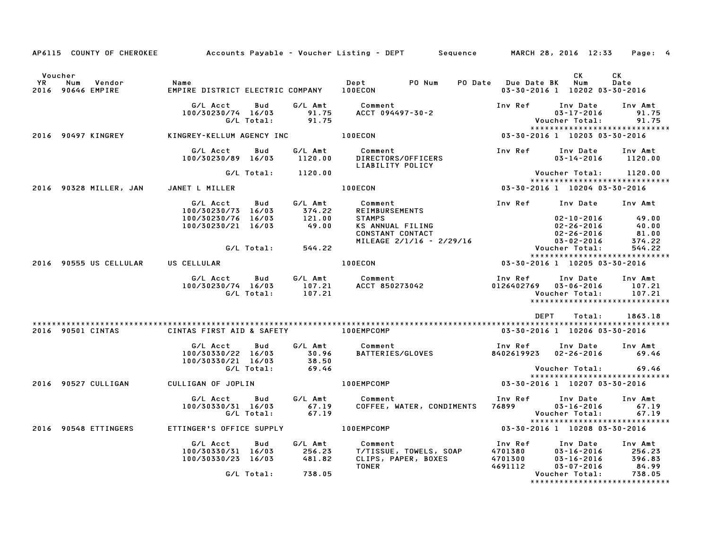|                                                  |                                                             |                                     | AP6115 COUNTY OF CHEROKEE Accounts Payable – Voucher Listing – DEPT Sequence MARCH 28, 2016 12:33 Page: 4                                                                                                       |                                          |                                                                                                              |
|--------------------------------------------------|-------------------------------------------------------------|-------------------------------------|-----------------------------------------------------------------------------------------------------------------------------------------------------------------------------------------------------------------|------------------------------------------|--------------------------------------------------------------------------------------------------------------|
| Voucher<br>YR<br>Num Vendor<br>2016 90646 EMPIRE | Name<br>EMPIRE DISTRICT ELECTRIC COMPANY 100ECON            |                                     |                                                                                                                                                                                                                 |                                          | CK<br><b>CK</b><br>Num<br>Date<br>03-30-2016 1 10202 03-30-2016                                              |
|                                                  | G/L Acct<br>Bud<br>100/30230/74 16/03<br>G/L Total: 91.75   | 91.75                               | G/L Amt Comment<br>ACCT 094497-30-2                                                                                                                                                                             | Inv Ref                                  | Inv Date<br>Inv Amt<br>91.75<br>$03 - 17 - 2016$<br>Voucher Total:<br>91.75<br>***************************** |
| 2016 90497 KINGREY                               | KINGREY-KELLUM AGENCY INC 100ECON                           |                                     |                                                                                                                                                                                                                 |                                          | 03-30-2016 1 10203 03-30-2016                                                                                |
|                                                  | G/L Acct Bud<br>100/30230/89 16/03                          | G/L Amt<br>1120.00                  | Comment                                  Inv Ref<br>DIRECTORS/OFFICERS<br>Comment<br>LIABILITY POLICY                                                                                                           |                                          | Inv Date<br>Inv Amt<br>$03 - 14 - 2016$ 1120.00                                                              |
|                                                  | G/L Total: 1120.00                                          |                                     |                                                                                                                                                                                                                 |                                          | Voucher Total:       1120.00<br>*****************************                                                |
| 2016 90328 MILLER, JAN JANET L MILLER            |                                                             |                                     | 100ECON                                                                                                                                                                                                         |                                          | 03-30-2016 1 10204 03-30-2016                                                                                |
|                                                  | G/L Acct Bud<br>100/30230/73 16/03                          | 374.22<br>121.00                    |                                                                                                                                                                                                                 |                                          | Inv Ref Inv Date Inv Amt                                                                                     |
|                                                  | 100/30230/76 16/03<br>100/30230/21 16/03                    | 49.00                               | STAMPS<br>KS ANNUAL FILING<br>CONSTANT CONTACT<br>MILEAGE 2/1/16 - 2/29/16                                                                                                                                      |                                          | 49.00<br>02-10-2016<br>02-26-2016<br>40.00<br>81.00<br>02-26-2016                                            |
|                                                  | G/L Total: 544.22                                           |                                     |                                                                                                                                                                                                                 |                                          | 03-02-2016<br>374.22<br>Voucher Total:<br>544.22                                                             |
| 2016 90555 US CELLULAR US CELLULAR               |                                                             |                                     | 100ECON                                                                                                                                                                                                         |                                          | *****************************<br>03-30-2016 1 10205 03-30-2016                                               |
|                                                  |                                                             |                                     | er Amt Comment Inv Ref Inv Date دی کاری کاری کرد. در این کاری کرد. در این کاری کرد. این کاری کرد. این کاری کرد<br>G/L Total: 107.21 ACCT 850273042 0126402769 03-06-2016<br>Comment 107.21 Care of March 107.21 | Inv Ref      Inv Date                    | Inv Amt<br>107.21<br>107.21<br>*****************************                                                 |
|                                                  |                                                             |                                     |                                                                                                                                                                                                                 | DEPT                                     | 1863.18<br>Total:                                                                                            |
| 2016 90501 CINTAS                                | CINTAS FIRST AID & SAFETY <b>100EMPCOMP</b>                 |                                     |                                                                                                                                                                                                                 |                                          | 03-30-2016 1 10206 03-30-2016                                                                                |
|                                                  | G/L Acct<br>Bud<br>100/30330/22 16/03<br>100/30330/21 16/03 | 30.96<br>$\frac{1}{38}.50$<br>69.46 | G/L Amt Comment<br>BATTERIES/GLOVES                                                                                                                                                                             | Inv Ref                                  | Inv Date Inv Amt<br>8402619923  02-26-2016  69.46                                                            |
| 2016 90527 CULLIGAN                              | G/L Total:<br>CULLIGAN OF JOPLIN                            |                                     | 100EMPCOMP                                                                                                                                                                                                      |                                          | Voucher Total:<br>69.46<br>*****************************<br>03-30-2016 1 10207 03-30-2016                    |
|                                                  | G/L Acct<br>Bud<br>100/30330/31 16/03<br>G/L Total:         | G⁄L Amt<br>$67.19$<br>$67.19$       | Comment<br>COFFEE, WATER, CONDIMENTS 76899 03-16-2016                                                                                                                                                           | Inv Ref      Inv Date                    | Inv Amt<br>67.19<br>Voucher Total:<br>67.19                                                                  |
| 2016 90548 ETTINGERS                             | ETTINGER'S OFFICE SUPPLY 100EMPCOMP                         |                                     |                                                                                                                                                                                                                 |                                          | *****************************<br>03-30-2016 1 10208 03-30-2016                                               |
|                                                  | G/L Acct<br>Bud<br>100/30330/31 16/03<br>100/30330/23 16/03 | G/L Amt<br>256.23<br>481.82         | Comment<br><b>T/TISSUE, TOWELS, SOAP<br/>CLIPS, PAPER, BOXES</b><br>TONER                                                                                                                                       | Inv Ref<br>4701380<br>4701300<br>4691112 | Inv Date<br>Inv Amt<br>03-16-2016 256.23<br>03-16-2016 396.83<br>03-16-2016<br>03-07-2016<br>84.99           |
|                                                  | G/L Total: 738.05                                           |                                     |                                                                                                                                                                                                                 |                                          | Voucher Total:<br>738.05<br>*****************************                                                    |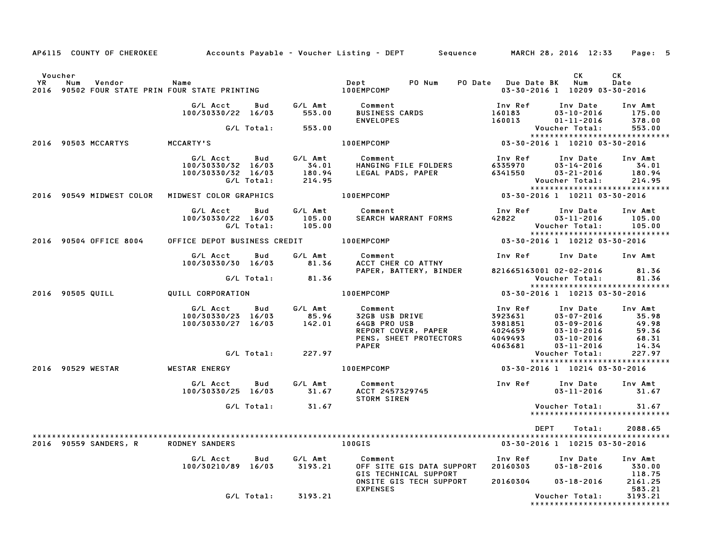|         |                        |                                                          |            |                     | AP6115 COUNTY OF CHEROKEE Accounts Payable - Voucher Listing - DEPT Sequence MARCH 28, 2016 12:33 Page: 5                                                                                                                                |                                                     |                                                                             |                                          |
|---------|------------------------|----------------------------------------------------------|------------|---------------------|------------------------------------------------------------------------------------------------------------------------------------------------------------------------------------------------------------------------------------------|-----------------------------------------------------|-----------------------------------------------------------------------------|------------------------------------------|
| Voucher |                        |                                                          |            |                     |                                                                                                                                                                                                                                          |                                                     | CK.                                                                         | CK                                       |
|         |                        |                                                          |            |                     |                                                                                                                                                                                                                                          | PO Date Due Date BK Num                             | 03-30-2016 1 10209 03-30-2016                                               | Date                                     |
|         |                        | G/L Acct   Bud                                           |            |                     | G/L Amt Comment<br>$67L$ ACCT BUU 67L AIII COMINENS CARDS<br>100/30330/22 16/03 553.00 BUSINESS CARDS                                                                                                                                    | Inv Ref      Inv Date     Inv Amt<br>160183         | $03 - 10 - 2016$                                                            | 175.00                                   |
|         |                        |                                                          |            | G/L Total: 553.00   | <b>ENVELOPES</b>                                                                                                                                                                                                                         | 160013                                              | 01-11-2016<br>Voucher Total:                                                | 378.00<br>553.00                         |
|         | 2016 90503 MCCARTYS    | MCCARTY'S                                                |            |                     | 100EMPCOMP                                                                                                                                                                                                                               |                                                     |                                                                             | *****************************            |
|         |                        | G/L Acct Bud<br>100/30330/32 16/03<br>100/30330/32 16/03 |            |                     |                                                                                                                                                                                                                                          |                                                     |                                                                             |                                          |
|         |                        |                                                          | G/L Total: |                     |                                                                                                                                                                                                                                          |                                                     | Voucher Total:<br>Youcher Total:                                            | *****************************            |
|         |                        | 2016 90549 MIDWEST COLOR MIDWEST COLOR GRAPHICS          |            |                     | 100EMPCOMP                                                                                                                                                                                                                               | $03 - 30 - 2016$ 1 10211 03-30-2016                 |                                                                             |                                          |
|         |                        | 100/30330/22 16/03 105.00<br>G/L Total: 105.00           |            |                     | G/L Acct Bud G/L Amt Comment<br>SEARCH WARRANT FORMS                                                                                                                                                                                     | Inv Ref Inv Date Inv Amt<br>42822 03-11-2016 105.00 | Voucher Total: 105.00                                                       |                                          |
|         | 2016 90504 OFFICE 8004 |                                                          |            |                     | OFFICE DEPOT BUSINESS CREDIT 100EMPCOMP                                                                                                                                                                                                  | 03-30-2016 1 10212 03-30-2016                       |                                                                             | *****************************            |
|         |                        | G/L Acct Bud                                             |            |                     | G/L Amt Comment<br>100/30330/30 16/03 81.36 ACCT CHER CO ATTNY                                                                                                                                                                           | Inv Ref      Inv Date     Inv Amt                   |                                                                             |                                          |
|         |                        |                                                          |            | G/L Total: 81.36    | PAPER, BATTERY, BINDER                                                                                                                                                                                                                   | 821665163001 02-02-2016 81.36                       | Voucher Total: 81.36                                                        |                                          |
|         |                        |                                                          |            |                     |                                                                                                                                                                                                                                          |                                                     |                                                                             | *****************************            |
|         | 2016 90505 QUILL       | QUILL CORPORATION 100EMPCOMP                             |            |                     |                                                                                                                                                                                                                                          | 03-30-2016 1 10213 03-30-2016                       |                                                                             |                                          |
|         |                        | G/L Acct Bud<br>100/30330/23 16/03<br>100/30330/27 16/03 |            | $85.96$<br>$142.01$ | 6/L Amt Comment<br>85.96 32GB USB DRIVE 3923631 03-07-2016 35.98<br>142.01 64GB PRO USB 3981851 03-07-2016 49.98<br>REPORT COVER, PAPER 4024659 03-10-2016 59.36<br>PENS, SHEET PROTECTORS 4049493 03-10-2016 68.31<br>PAPER 4063681 03- |                                                     | 03-07-2016<br>03-09-2016<br>03-10-2016<br>03-10-2016<br>03-10-2016<br>68.31 | 14.34                                    |
|         |                        |                                                          |            | G/L Total: 227.97   |                                                                                                                                                                                                                                          |                                                     | Voucher Total:                                                              | 227.97                                   |
|         | 2016 90529 WESTAR      | WESTAR ENERGY NEWSLETTING                                |            |                     | <b>100EMPCOMP</b>                                                                                                                                                                                                                        | 03-30-2016 1 10214 03-30-2016                       |                                                                             | *****************************            |
|         |                        |                                                          |            |                     | G/L Acct Bud G/L Amt Comment Inv Ref Inv Date Inv Amt<br>100/30330/25 16/03 31.67 ACCT 2457329745 03-11-2016 31.67<br>11.67 11.67 11.67 11.67 11.67 11.67                                                                                |                                                     | $03 - 11 - 2016$ $31.67$                                                    |                                          |
|         |                        |                                                          |            | G/L Total: 31.67    |                                                                                                                                                                                                                                          |                                                     | Voucher Total:                                                              | 31.67<br>*****************************   |
|         |                        |                                                          |            |                     |                                                                                                                                                                                                                                          | DEPT                                                | Total:                                                                      | 2088.65                                  |
|         | 2016 90559 SANDERS, R  | <b>RODNEY SANDERS</b>                                    |            |                     | 100GIS                                                                                                                                                                                                                                   |                                                     | 03-30-2016 1 10215 03-30-2016                                               |                                          |
|         |                        | G/L Acct<br>100/30210/89 16/03                           | Bud        | G/L Amt<br>3193.21  | Comment<br>OFF SITE GIS DATA SUPPORT<br>GIS TECHNICAL SUPPORT                                                                                                                                                                            | Inv Ref<br>20160303                                 | Inv Date<br>$03 - 18 - 2016$                                                | Inv Amt<br>330.00<br>118.75              |
|         |                        |                                                          |            |                     | ONSITE GIS TECH SUPPORT<br><b>EXPENSES</b>                                                                                                                                                                                               | 20160304                                            | $03 - 18 - 2016$                                                            | 2161.25<br>583.21                        |
|         |                        |                                                          | G/L Total: | 3193.21             |                                                                                                                                                                                                                                          |                                                     | Voucher Total:                                                              | 3193.21<br>***************************** |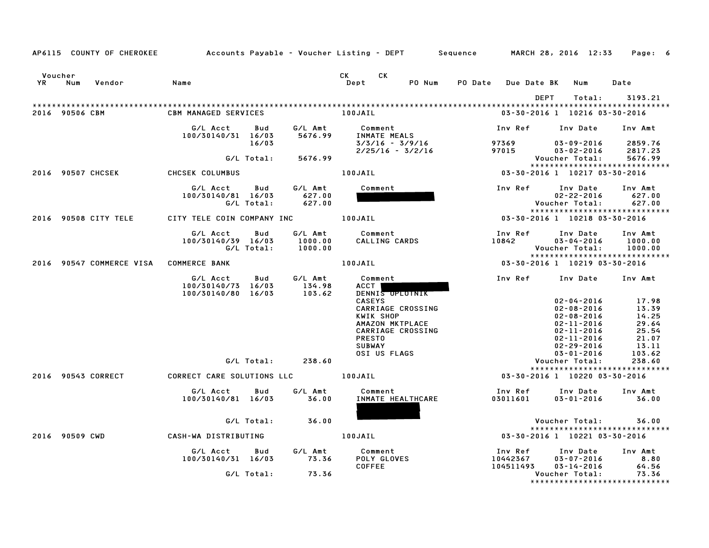|               |                | AP6115 COUNTY OF CHEROKEE | Accounts Payable – Voucher Listing – DEPT         Sequence |                   |                               |                                                                                                                                                                                                                                                     |                                                                              |                         | MARCH 28, 2016 12:33                |      |                                                                                                                                                                          |        | Page: 6                                                                          |  |
|---------------|----------------|---------------------------|------------------------------------------------------------|-------------------|-------------------------------|-----------------------------------------------------------------------------------------------------------------------------------------------------------------------------------------------------------------------------------------------------|------------------------------------------------------------------------------|-------------------------|-------------------------------------|------|--------------------------------------------------------------------------------------------------------------------------------------------------------------------------|--------|----------------------------------------------------------------------------------|--|
| Voucher<br>YR | Num            | Vendor                    | Name                                                       |                   |                               | <b>CK</b><br>CK and the set of the set of the set of the set of the set of the set of the set of the set of the set of the set of the set of the set of the set of the set of the set of the set of the set of the set of the set of the se<br>Dept | PO Num                                                                       | PO Date Due Date BK Num |                                     |      |                                                                                                                                                                          |        | Date                                                                             |  |
|               | 2016 90506 CBM |                           | <b>CBM MANAGED SERVICES</b>                                |                   |                               | 100JAIL                                                                                                                                                                                                                                             |                                                                              |                         | 03-30-2016 1 10216 03-30-2016       | DEPT |                                                                                                                                                                          | Total: | 3193.21                                                                          |  |
|               |                |                           | G/L Acct<br>100/30140/31 16/03                             | Bud<br>16/03      | G/L Amt<br>5676.99            | Comment<br>INMATE MEALS                                                                                                                                                                                                                             | 3/3/16 - 3/9/16                                                              |                         | Inv Ref<br>97369                    |      | Inv Date<br>$03 - 09 - 2016$                                                                                                                                             |        | Inv Amt<br>2859.76                                                               |  |
|               |                |                           |                                                            | G/L Total:        | 5676.99                       |                                                                                                                                                                                                                                                     | $2/25/16 - 3/2/16$                                                           |                         | 97015                               |      | $03 - 02 - 2016$<br>Voucher Total:                                                                                                                                       |        | 2817.23<br>5676.99                                                               |  |
|               |                | 2016 90507 CHCSEK         | CHCSEK COLUMBUS                                            |                   |                               | 100JAIL                                                                                                                                                                                                                                             |                                                                              |                         | 03-30-2016 1 10217 03-30-2016       |      |                                                                                                                                                                          |        | *****************************                                                    |  |
|               |                |                           | G/L Acct<br>100/30140/81 16/03                             | Bud<br>G/L Total: | G/L Amt<br>627.00<br>627.00   | Comment                                                                                                                                                                                                                                             |                                                                              |                         | Inv Ref                             |      | Inv Date<br>$02 - 22 - 2016$<br>Voucher Total:                                                                                                                           |        | Inv Amt<br>627.00<br>627.00                                                      |  |
|               |                | 2016 90508 CITY TELE      | CITY TELE COIN COMPANY INC 100JAIL                         |                   |                               |                                                                                                                                                                                                                                                     |                                                                              |                         | $03 - 30 - 2016$ 1 10218 03-30-2016 |      |                                                                                                                                                                          |        | *****************************                                                    |  |
|               |                |                           | G/L Acct<br>100/30140/39 16/03                             | Bud<br>G/L Total: | G/L Amt<br>1000.00<br>1000.00 | Comment                                                                                                                                                                                                                                             | CALLING CARDS                                                                |                         | Inv Ref<br>10842                    |      | Inv Date<br>$03 - 04 - 2016$<br>Voucher Total:                                                                                                                           |        | Inv Amt<br>1000.00<br>1000.00<br>*****************************                   |  |
|               |                | 2016 90547 COMMERCE VISA  | <b>COMMERCE BANK</b>                                       |                   |                               | 100JAIL                                                                                                                                                                                                                                             |                                                                              |                         |                                     |      |                                                                                                                                                                          |        |                                                                                  |  |
|               |                |                           | G/L Acct<br>100/30140/73 16/03<br>100/30140/80 16/03       | Bud               | G/L Amt<br>134.98<br>103.62   | Comment<br>ACCT<br><b>CASEYS</b><br>KWIK SHOP<br><b>PRESTO</b><br><b>SUBWAY</b><br>OSI US FLAGS                                                                                                                                                     | DENNIS UPLUTNIK<br>CARRIAGE CROSSING<br>AMAZON MKTPLACE<br>CARRIAGE CROSSING |                         | Inv Ref                             |      | Inv Date<br>$02 - 04 - 2016$<br>$02 - 08 - 2016$<br>$02 - 08 - 2016$<br>$02 - 11 - 2016$<br>$02 - 11 - 2016$<br>$02 - 11 - 2016$<br>$02 - 29 - 2016$<br>$03 - 01 - 2016$ |        | Inv Amt<br>17.98<br>13.39<br>14.25<br>29.64<br>25.54<br>21.07<br>13.11<br>103.62 |  |
|               |                |                           |                                                            | G/L Total:        | 238.60                        |                                                                                                                                                                                                                                                     |                                                                              |                         |                                     |      | Voucher Total:                                                                                                                                                           |        | 238.60<br>*****************************                                          |  |
|               |                | 2016 90543 CORRECT        | CORRECT CARE SOLUTIONS LLC                                 |                   |                               | 100JAIL                                                                                                                                                                                                                                             |                                                                              |                         | 03-30-2016 1 10220 03-30-2016       |      |                                                                                                                                                                          |        |                                                                                  |  |
|               |                |                           | G/L Acct<br>100/30140/81 16/03                             | Bud               | G/L Amt<br>36.00              | Comment                                                                                                                                                                                                                                             | INMATE HEALTHCARE                                                            |                         | Inv Ref<br>03011601                 |      | Inv Date<br>$03 - 01 - 2016$                                                                                                                                             |        | Inv Amt<br>36.00                                                                 |  |
|               |                |                           |                                                            | G/L Total:        | 36.00                         |                                                                                                                                                                                                                                                     |                                                                              |                         |                                     |      | Voucher Total:                                                                                                                                                           |        | 36.00<br>*****************************                                           |  |
|               | 2016 90509 CWD |                           | CASH-WA DISTRIBUTING                                       |                   |                               | 100JAIL                                                                                                                                                                                                                                             |                                                                              |                         | 03-30-2016 1 10221 03-30-2016       |      |                                                                                                                                                                          |        |                                                                                  |  |
|               |                |                           | G/L Acct<br>100/30140/31 16/03                             | Bud<br>G/L Total: | G/L Amt<br>73.36<br>73.36     | Comment<br>POLY GLOVES<br><b>COFFEE</b>                                                                                                                                                                                                             |                                                                              |                         | Inv Ref<br>10442367<br>104511493    |      | Inv Date<br>$03 - 07 - 2016$<br>$03 - 14 - 2016$<br>Voucher Total:                                                                                                       |        | Inv Amt<br>8.80<br>64.56<br>73.36                                                |  |
|               |                |                           |                                                            |                   |                               |                                                                                                                                                                                                                                                     |                                                                              |                         |                                     |      |                                                                                                                                                                          |        | *******************************                                                  |  |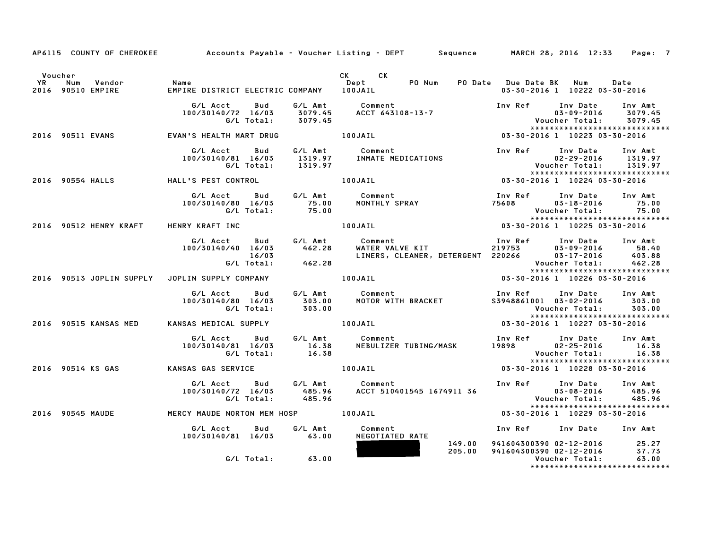|         |                                                 |                                                                             |         | AP6115 COUNTY OF CHEROKEE Accounts Payable - Voucher Listing - DEPT Sequence MARCH 28, 2016 12:33 Page: 7                                                                                                                               |                                                                                                                          |  |
|---------|-------------------------------------------------|-----------------------------------------------------------------------------|---------|-----------------------------------------------------------------------------------------------------------------------------------------------------------------------------------------------------------------------------------------|--------------------------------------------------------------------------------------------------------------------------|--|
| Voucher | num vendor – Name<br>2016 90510 EMPIRE – EMPIRE |                                                                             |         | CK CK                                                                                                                                                                                                                                   | 03-30-2016 1 10222 03-30-2016                                                                                            |  |
|         |                                                 |                                                                             |         | G/L Acct Bud G/L Amt Comment Inv Ref Inv Date Inv Amt<br>100/30140/72 16/03 3079.45 ACCT 643108–13–7 100/30140/72 16/03 3079.45<br>G/L Total: 3079.45 ACCT 643108–13–7 100 Voucher Total: 3079.45<br>********************************** |                                                                                                                          |  |
|         |                                                 | 2016 90511 EVANS <b>EVAN'S HEALTH MART DRUG</b> 100JAIL                     |         |                                                                                                                                                                                                                                         | 03-30-2016 1 10223 03-30-2016                                                                                            |  |
|         |                                                 |                                                                             |         | G/L Acct Bud G/L Amt Comment Inv Ref Inv Date Inv Amt<br>100/30140/81 16/03 1319.97 INMATEMEDICATIONS 02-29-2016 1319.97<br>G/L Total: 1319.97 Voucher Total: 1319.97<br>2016 90554 HALL'S PEST CONTROL 100JAIL 03-30-2016 1 10224 03-3 | $02 - 29 - 2016$ 1319.97<br>Voucher Total: 1319.97<br>*****************************                                      |  |
|         |                                                 |                                                                             |         |                                                                                                                                                                                                                                         |                                                                                                                          |  |
|         |                                                 |                                                                             |         | 75.00<br>100JAIL 100JAIL 100JAIL 100JAIL 100JAIL 100JAIL 100JAIL 100JAIL 100JAIL 100JAIL 100JAIL 100JAIL 100JAIL 100-00<br>100JAIL 10225 03-30-2016 10025 03-30-2016                                                                    | Inv Ref      Inv Date     Inv Amt<br>$03 - 18 - 2016$ 75.00                                                              |  |
|         | 2016 90512 HENRY KRAFT HENRY KRAFT INC          |                                                                             |         |                                                                                                                                                                                                                                         |                                                                                                                          |  |
|         |                                                 | G/L Acct<br><b>Bud</b><br>100/30140/40 16/03<br>16/03<br>G/L Total:         | 462.28  |                                                                                                                                                                                                                                         |                                                                                                                          |  |
|         |                                                 | 2016 90513 JOPLIN SUPPLY JOPLIN SUPPLY COMPANY 100JAIL                      |         |                                                                                                                                                                                                                                         | 03-30-2016 1 10226 03-30-2016                                                                                            |  |
|         |                                                 | 100/30140/80 16/03                                                          |         | 6/L Acct Bud G/L Amt Comment – Inv Ref Inv Date Inv Amt<br>100/30140/80 16/03 – 303.00 – MOTOR WITH BRACKET – S3948861001 03-02-2016 – 303.00<br>6/L Total: 303.00 – 100 – 100 – 100 – 100 – 100 – 100 – 100 – 100 – 100 – 100 – 100    | *****************************                                                                                            |  |
|         |                                                 | 2016 90515 KANSAS MED       KANSAS MEDICAL SUPPLY                   100JAIL |         |                                                                                                                                                                                                                                         | 03-30-2016 1 10227 03-30-2016                                                                                            |  |
|         |                                                 |                                                                             |         | G/L Acct Bud G/L Amt Comment Inv Ref Inv Date Inv Amt<br>100/30140/81 16/03 16.38 NEBULIZER TUBING/MASK 19898 02–25–2016 16.38<br>G/L Total: 16.38 16.38 Newslaps                                                                       |                                                                                                                          |  |
|         |                                                 | 2016 90514 KS GAS KANSAS GAS SERVICE                                        | 100JAIL |                                                                                                                                                                                                                                         | Voucher Total:         16.38<br>****************************<br>10228  03-30-2016       10228  03-30-2016                |  |
|         |                                                 | 100/30140/72 16/03                                                          |         | 6/L Acct Bud G/L Amt Comment Inv Ref Inv Date Inv Amt<br>100/30140/72 16/03 485.96 ACCT 510401545 1674911 36 03–08–2016 485.96<br>6/L Total: 485.96 ACCT 510401545 1674911 36 Voucher Total: 485.96<br>******************************** |                                                                                                                          |  |
|         |                                                 | 2016 90545 MAUDE MERCY MAUDE NORTON MEM HOSP 100JAIL                        |         |                                                                                                                                                                                                                                         | 03-30-2016 1 10229 03-30-2016                                                                                            |  |
|         |                                                 | G/L Acct   Bud<br>100/30140/81 16/03 63.00                                  | G/L Amt | Comment<br>NEGOTIATED RATE                                                                                                                                                                                                              | Inv Ref Inv Date Inv Amt                                                                                                 |  |
|         |                                                 | G/L Total: 63.00                                                            |         | 149.00<br>205.00                                                                                                                                                                                                                        | 941604300390 02-12-2016 25.27<br>941604300390 02-12-2016 37.73<br>Voucher Total: 63.00<br>****************************** |  |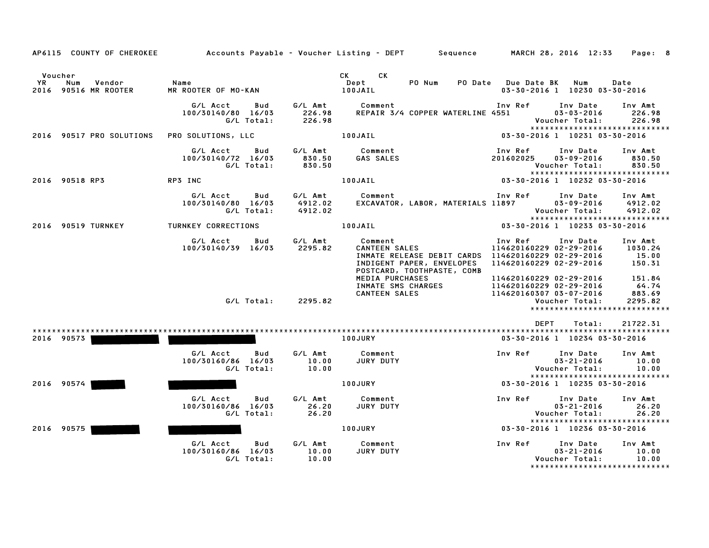| AP6115 COUNTY OF CHEROKEE                              |                                                     |                               | Accounts Payable – Voucher Listing – DEPT         Sequence         MARCH 28, 2016  12:33                                                          |                                                                                                                                  | Page: 8                               |
|--------------------------------------------------------|-----------------------------------------------------|-------------------------------|---------------------------------------------------------------------------------------------------------------------------------------------------|----------------------------------------------------------------------------------------------------------------------------------|---------------------------------------|
| Voucher<br>YR<br>Vendor<br>Num<br>2016 90516 MR ROOTER | Name<br>MR ROOTER OF MO-KAN                         |                               | CK CK<br>Dept<br>PO Num<br>100JAIL                                                                                                                | PO Date Due Date BK<br>Num<br>03-30-2016 1 10230 03-30-2016                                                                      | Date                                  |
|                                                        | G/L Acct<br>Bud<br>100/30140/80 16/03<br>G/L Total: | G∕L Amt<br>226.98<br>226.98   | Comment<br>REPAIR 3/4 COPPER WATERLINE 4551                                                                                                       | Inv Ref<br>Inv Date<br>$03 - 03 - 2016$<br>Voucher Total:<br>*****************************                                       | Inv Amt<br>226.98<br>226.98           |
| 2016 90517 PRO SOLUTIONS                               | PRO SOLUTIONS, LLC                                  |                               | 100JAIL                                                                                                                                           | 03-30-2016 1 10231 03-30-2016                                                                                                    |                                       |
|                                                        | G/L Acct<br>Bud<br>100/30140/72 16/03<br>G/L Total: | G/L Amt<br>830.50<br>830.50   | Comment<br>GAS SALES                                                                                                                              | Inv Ref<br>Inv Date<br>201602025<br>$03 - 09 - 2016$<br>Voucher Total:<br>*****************************                          | Inv Amt<br>830.50<br>830.50           |
| 2016 90518 RP3                                         | RP3 INC                                             |                               | 100JAIL                                                                                                                                           | 03-30-2016 1 10232 03-30-2016                                                                                                    |                                       |
|                                                        | G/L Acct<br>Bud<br>100/30140/80 16/03<br>G/L Total: | G/L Amt<br>4912.02<br>4912.02 | Comment<br>EXCAVATOR, LABOR, MATERIALS 11897                                                                                                      | Inv Ref<br>Inv Date<br>$03 - 09 - 2016$<br>Voucher Total:<br>*****************************                                       | Inv Amt<br>4912.02<br>4912.02         |
| 2016 90519 TURNKEY                                     | TURNKEY CORRECTIONS                                 |                               | 100JAIL                                                                                                                                           | 03-30-2016 1 10233 03-30-2016                                                                                                    |                                       |
|                                                        | G/L Acct<br>Bud<br>100/30140/39 16/03               | G/L Amt<br>2295.82            | Comment<br><b>CANTEEN SALES</b><br>INMATE RELEASE DEBIT CARDS  114620160229 02-29-2016<br>INDIGENT PAPER, ENVELOPES<br>POSTCARD, TOOTHPASTE, COMB | Inv Date<br>Inv Ref<br>114620160229 02-29-2016<br>114620160229 02-29-2016                                                        | Inv Amt<br>1030.24<br>15.00<br>150.31 |
|                                                        | G/L Total:                                          | 2295.82                       | MEDIA PURCHASES<br>INMATE SMS CHARGES<br><b>CANTEEN SALES</b>                                                                                     | 114620160229 02-29-2016<br>114620160229 02-29-2016<br>114620160307 03-07-2016<br>Voucher Total:<br>***************************** | 151.84<br>64.74<br>883.69<br>2295.82  |
|                                                        |                                                     |                               |                                                                                                                                                   | <b>DEPT</b><br>Total:                                                                                                            | 21722.31                              |
| 2016 90573                                             |                                                     |                               | <b>100JURY</b>                                                                                                                                    | 03-30-2016 1 10234 03-30-2016                                                                                                    |                                       |
|                                                        | G/L Acct<br>Bud<br>100/30160/86 16/03<br>G/L Total: | G/L Amt<br>10.00<br>10.00     | Comment<br><b>JURY DUTY</b>                                                                                                                       | Inv Ref<br>Inv Date<br>$03 - 21 - 2016$<br>Voucher Total:                                                                        | Inv Amt<br>10.00<br>10.00             |
| 2016 90574                                             |                                                     |                               | <b>100JURY</b>                                                                                                                                    | *****************************<br>03-30-2016 1 10235 03-30-2016                                                                   |                                       |
|                                                        | G/L Acct<br>Bud<br>100/30160/86 16/03<br>G/L Total: | G/L Amt<br>26.20<br>26.20     | Comment<br>JURY DUTY                                                                                                                              | Inv Ref<br>Inv Date<br>$03 - 21 - 2016$<br>Voucher Total:<br>*****************************                                       | Inv Amt<br>26.20<br>26.20             |
| 2016 90575                                             |                                                     |                               | 100JURY                                                                                                                                           | 03-30-2016 1 10236 03-30-2016                                                                                                    |                                       |
|                                                        | G/L Acct<br>Bud<br>100/30160/86 16/03<br>G/L Total: | G/L Amt<br>10.00<br>10.00     | Comment<br>JURY DUTY                                                                                                                              | Inv Ref<br>Inv Date<br>$03 - 21 - 2016$<br>Voucher Total:<br>********************************                                    | Inv Amt<br>10.00<br>10.00             |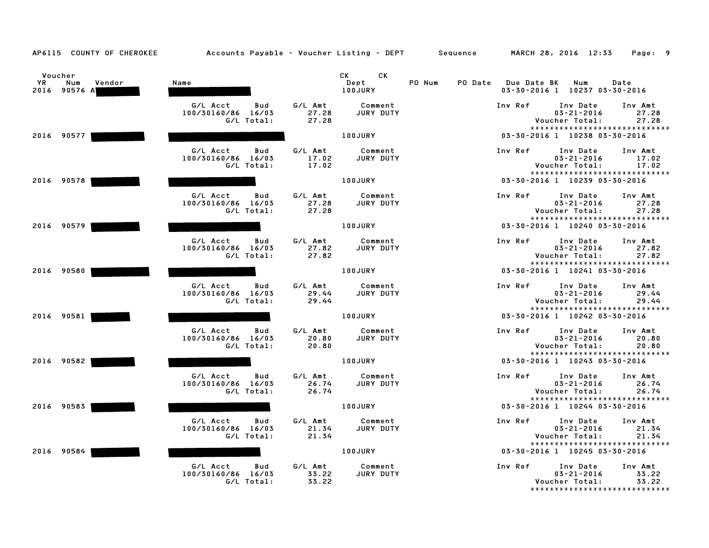| AP6115 COUNTY OF CHEROKEE                       | Accounts Payable – Voucher Listing – DEPT Sequence  |                           |                                       |        |                     | MARCH 28, 2016 12:33                                                             | Page: 9                   |
|-------------------------------------------------|-----------------------------------------------------|---------------------------|---------------------------------------|--------|---------------------|----------------------------------------------------------------------------------|---------------------------|
| Voucher<br>YR.<br>Num<br>Vendor<br>2016 90576 A | Name                                                |                           | CK.<br>CK .<br>Dept<br><b>100JURY</b> | PO Num | PO Date Due Date BK | Num<br>03-30-2016 1 10237 03-30-2016                                             | Date                      |
|                                                 | G/L Acct<br>Bud<br>100/30160/86 16/03<br>G/L Total: | G/L Amt<br>27.28<br>27.28 | Comment<br>JURY DUTY                  |        | Inv Ref             | Inv Date<br>$03 - 21 - 2016$<br>Voucher Total:<br>*****************************  | Inv Amt<br>27.28<br>27.28 |
| 2016 90577                                      |                                                     |                           | <b>100JURY</b>                        |        |                     | 03-30-2016 1 10238 03-30-2016                                                    |                           |
|                                                 | G/L Acct<br>Bud<br>100/30160/86 16/03<br>G/L Total: | G/L Amt<br>17.02<br>17.02 | Comment<br>JURY DUTY                  |        | Inv Ref             | Inv Date<br>$03 - 21 - 2016$<br>Voucher Total:<br>*****************************  | Inv Amt<br>17.02<br>17.02 |
| 2016 90578                                      |                                                     |                           | 100JURY                               |        |                     | 03-30-2016 1 10239 03-30-2016                                                    |                           |
|                                                 | G/L Acct<br>Bud<br>100/30160/86 16/03<br>G/L Total: | G/L Amt<br>27.28<br>27.28 | Comment<br>JURY DUTY                  |        | Inv Ref             | Inv Date<br>$03 - 21 - 2016$<br>Voucher Total:<br>*****************************  | Inv Amt<br>27.28<br>27.28 |
| 2016 90579                                      |                                                     |                           | 100JURY                               |        |                     | 03-30-2016 1 10240 03-30-2016                                                    |                           |
|                                                 | G/L Acct<br>Bud<br>100/30160/86 16/03<br>G/L Total: | G/L Amt<br>27.82<br>27.82 | Comment<br>JURY DUTY                  |        | Inv Ref             | Inv Date<br>$03 - 21 - 2016$<br>Voucher Total:<br>*****************************  | Inv Amt<br>27.82<br>27.82 |
| 2016 90580                                      |                                                     |                           | 100JURY                               |        |                     | 03-30-2016 1 10241 03-30-2016                                                    |                           |
|                                                 | G/L Acct<br>Bud<br>100/30160/86 16/03<br>G/L Total: | G/L Amt<br>29.44<br>29.44 | Comment<br>JURY DUTY                  |        | Inv Ref             | Inv Date<br>$03 - 21 - 2016$<br>Voucher Total:<br>*****************************  | Inv Amt<br>29.44<br>29.44 |
| 2016 90581                                      |                                                     |                           | <b>100JURY</b>                        |        |                     | 03-30-2016 1 10242 03-30-2016                                                    |                           |
|                                                 | G/L Acct<br>Bud<br>100/30160/86 16/03<br>G/L Total: | G/L Amt<br>20.80<br>20.80 | Comment<br>JURY DUTY                  |        | Inv Ref             | Inv Date<br>$03 - 21 - 2016$<br>Voucher Total:<br>*****************************  | Inv Amt<br>20.80<br>20.80 |
| 2016 90582                                      |                                                     |                           | 100JURY                               |        |                     | 03-30-2016 1 10243 03-30-2016                                                    |                           |
|                                                 | G/L Acct<br>Bud<br>100/30160/86 16/03<br>G/L Total: | G/L Amt<br>26.74<br>26.74 | Comment<br>JURY DUTY                  |        | Inv Ref             | Inv Date<br>$03 - 21 - 2016$<br>Voucher Total:<br>****************************** | Inv Amt<br>26.74<br>26.74 |
| 2016 90583                                      |                                                     |                           | 100JURY                               |        |                     | 03-30-2016 1 10244 03-30-2016                                                    |                           |
|                                                 | G/L Acct<br>Bud<br>100/30160/86 16/03<br>G/L Total: | G/L Amt<br>21.34<br>21.34 | Comment<br>JURY DUTY                  |        | Inv Ref             | Inv Date<br>$03 - 21 - 2016$<br>Voucher Total:<br>*****************************  | Inv Amt<br>21.34<br>21.34 |
| 2016 90584                                      |                                                     |                           | 100JURY                               |        |                     | 03-30-2016 1 10245 03-30-2016                                                    |                           |
|                                                 | G/L Acct<br>Bud<br>100/30160/86 16/03<br>G/L Total: | G/L Amt<br>33.22<br>33.22 | Comment<br>JURY DUTY                  |        | Inv Ref             | Inv Date<br>$03 - 21 - 2016$<br>Voucher Total:<br>****************************** | Inv Amt<br>33.22<br>33.22 |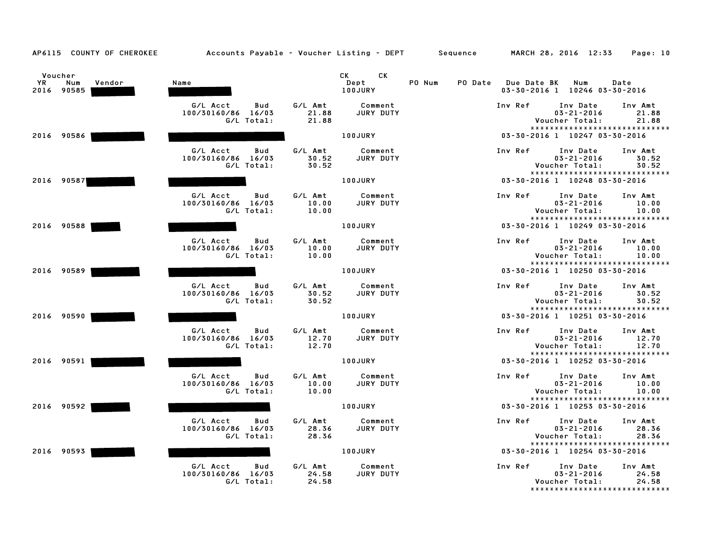| AP6115 COUNTY OF CHEROKEE                           |                                                        | Accounts Payable – Voucher Listing – DEPT Sequence |                   | MARCH 28, 2016 12:33                                                                       | Page: 10                  |
|-----------------------------------------------------|--------------------------------------------------------|----------------------------------------------------|-------------------|--------------------------------------------------------------------------------------------|---------------------------|
| Voucher<br><b>YR</b><br>Vendor<br>Num<br>2016 90585 | Name                                                   | CK.<br>CK<br>Dept<br>100JURY                       | PO Num<br>PO Date | <b>Due Date BK</b><br>Num<br>03-30-2016 1 10246 03-30-2016                                 | Date                      |
|                                                     | G/L Acct<br>Bud<br>100/30160/86<br>16/03<br>G/L Total: | G/L Amt<br>Comment<br>21.88<br>JURY DUTY<br>21.88  |                   | Inv Ref<br>Inv Date<br>$03 - 21 - 2016$<br>Voucher Total:<br>***************************** | Inv Amt<br>21.88<br>21.88 |
| 2016 90586                                          |                                                        | 100JURY                                            |                   | 03-30-2016 1 10247 03-30-2016                                                              |                           |
|                                                     | G/L Acct<br>Bud<br>100/30160/86 16/03<br>G/L Total:    | G/L Amt<br>Comment<br>30.52<br>JURY DUTY<br>30.52  |                   | Inv Ref<br>Inv Date<br>$03 - 21 - 2016$<br>Voucher Total:<br>***************************** | Inv Amt<br>30.52<br>30.52 |
| 2016 90587                                          |                                                        | 100JURY                                            |                   | 03-30-2016 1 10248 03-30-2016                                                              |                           |
|                                                     | G/L Acct<br>Bud<br>100/30160/86 16/03<br>G/L Total:    | G/L Amt<br>Comment<br>JURY DUTY<br>10.00<br>10.00  |                   | Inv Ref<br>Inv Date<br>$03 - 21 - 2016$<br>Voucher Total:<br>***************************** | Inv Amt<br>10.00<br>10.00 |
| 2016 90588                                          |                                                        | 100JURY                                            |                   | 03-30-2016 1 10249 03-30-2016                                                              |                           |
|                                                     | G/L Acct<br>Bud<br>100/30160/86 16/03<br>G/L Total:    | G/L Amt<br>Comment<br>10.00<br>JURY DUTY<br>10.00  |                   | Inv Ref<br>Inv Date<br>$03 - 21 - 2016$<br>Voucher Total:<br>***************************** | Inv Amt<br>10.00<br>10.00 |
| 2016 90589                                          |                                                        | 100JURY                                            |                   | 03-30-2016 1 10250 03-30-2016                                                              |                           |
|                                                     | G/L Acct<br>Bud<br>100/30160/86 16/03<br>G/L Total:    | G/L Amt<br>Comment<br>JURY DUTY<br>30.52<br>30.52  |                   | Inv Ref<br>Inv Date<br>$03 - 21 - 2016$<br>Voucher Total:<br>***************************** | Inv Amt<br>30.52<br>30.52 |
| 2016 90590                                          |                                                        | <b>100JURY</b>                                     |                   | 03-30-2016 1 10251 03-30-2016                                                              |                           |
|                                                     | G/L Acct<br>Bud<br>100/30160/86<br>16/03<br>G/L Total: | G/L Amt<br>Comment<br>12.70<br>JURY DUTY<br>12.70  |                   | Inv Ref<br>Inv Date<br>$03 - 21 - 2016$<br>Voucher Total:<br>***************************** | Inv Amt<br>12.70<br>12.70 |
| 2016 90591                                          |                                                        | 100JURY                                            |                   | 03-30-2016 1 10252 03-30-2016                                                              |                           |
|                                                     | G/L Acct<br>Bud<br>100/30160/86 16/03<br>G/L Total:    | G/L Amt<br>Comment<br>10.00<br>JURY DUTY<br>10.00  |                   | Inv Ref<br>Inv Date<br>$03 - 21 - 2016$<br>Voucher Total:<br>***************************** | Inv Amt<br>10.00<br>10.00 |
| 2016 90592                                          |                                                        | 100JURY                                            |                   | 03-30-2016 1 10253 03-30-2016                                                              |                           |
|                                                     | G/L Acct<br>Bud<br>100/30160/86 16/03<br>G/L Total:    | G/L Amt<br>Comment<br>28.36<br>JURY DUTY<br>28.36  |                   | Inv Ref<br>Inv Date<br>$03 - 21 - 2016$<br>Voucher Total:<br>***************************** | Inv Amt<br>28.36<br>28.36 |
| 2016 90593                                          |                                                        | 100JURY                                            |                   | 03-30-2016 1 10254 03-30-2016                                                              |                           |
|                                                     | G/L Acct<br>Bud<br>100/30160/86<br>16/03<br>G/L Total: | G/L Amt<br>Comment<br>24.58<br>JURY DUTY<br>24.58  |                   | Inv Ref<br>Inv Date<br>$03 - 21 - 2016$<br>Voucher Total:<br>***************************** | Inv Amt<br>24.58<br>24.58 |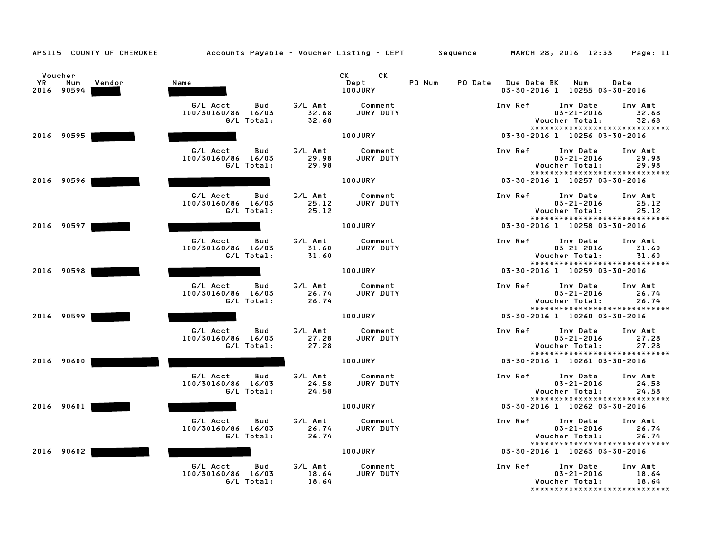|    | Voucher    |        |                                          |                  | CK C<br>СK           |                   |             |                                                                |                  |
|----|------------|--------|------------------------------------------|------------------|----------------------|-------------------|-------------|----------------------------------------------------------------|------------------|
| YR | Num        | Vendor | Name                                     |                  | Dept<br>100JURY      | PO Num<br>PO Date | Due Date BK | Num<br>03-30-2016 1 10255 03-30-2016                           | Date             |
|    | 2016 90594 |        |                                          |                  |                      |                   |             |                                                                |                  |
|    |            |        | G/L Acct<br>Bud                          | G/L Amt          | Comment              |                   | Inv Ref     | Inv Date                                                       | Inv Amt          |
|    |            |        | 100/30160/86 16/03                       | 32.68            | JURY DUTY            |                   |             | $03 - 21 - 2016$                                               | 32.68            |
|    |            |        | G/L Total:                               | 32.68            |                      |                   |             | Voucher Total:<br>*****************************                | 32.68            |
|    | 2016 90595 |        |                                          |                  | 100JURY              |                   |             | 03-30-2016 1 10256 03-30-2016                                  |                  |
|    |            |        |                                          |                  |                      |                   |             |                                                                |                  |
|    |            |        | G/L Acct<br>Bud                          | G/L Amt          | Comment              |                   | Inv Ref     | Inv Date<br>$03 - 21 - 2016$                                   | Inv Amt          |
|    |            |        | 100/30160/86 16/03<br>G/L Total:         | 29.98<br>29.98   | JURY DUTY            |                   |             | Voucher Total:                                                 | 29.98<br>29.98   |
|    |            |        |                                          |                  |                      |                   |             | *****************************                                  |                  |
|    | 2016 90596 |        |                                          |                  | <b>100JURY</b>       |                   |             | 03-30-2016 1 10257 03-30-2016                                  |                  |
|    |            |        |                                          |                  |                      |                   |             |                                                                |                  |
|    |            |        | G/L Acct<br>Bud                          | G/L Amt          | Comment              |                   | Inv Ref     | Inv Date                                                       | Inv Amt          |
|    |            |        | 100/30160/86 16/03<br>G/L Total:         | 25.12<br>25.12   | JURY DUTY            |                   |             | $03 - 21 - 2016$<br>Voucher Total:                             | 25.12<br>25.12   |
|    |            |        |                                          |                  |                      |                   |             | *****************************                                  |                  |
|    | 2016 90597 |        |                                          |                  | 100JURY              |                   |             | 03-30-2016 1 10258 03-30-2016                                  |                  |
|    |            |        |                                          |                  |                      |                   |             |                                                                |                  |
|    |            |        | G/L Acct<br>Bud<br>16/03<br>100/30160/86 | G/L Amt<br>31.60 | Comment<br>JURY DUTY |                   | Inv Ref     | Inv Date<br>$03 - 21 - 2016$                                   | Inv Amt<br>31.60 |
|    |            |        | G/L Total:                               | 31.60            |                      |                   |             | Voucher Total:                                                 | 31.60            |
|    |            |        |                                          |                  |                      |                   |             | *****************************                                  |                  |
|    | 2016 90598 |        |                                          |                  | 100JURY              |                   |             | 03-30-2016 1 10259 03-30-2016                                  |                  |
|    |            |        | G/L Acct<br>Bud                          | G/L Amt          | Comment              |                   | Inv Ref     | Inv Date                                                       | Inv Amt          |
|    |            |        | 100/30160/86 16/03                       | 26.74            | JURY DUTY            |                   |             | $03 - 21 - 2016$                                               | 26.74            |
|    |            |        | G/L Total:                               | 26.74            |                      |                   |             | Voucher Total:                                                 | 26.74            |
|    |            |        |                                          |                  |                      |                   |             | *****************************                                  |                  |
|    | 2016 90599 |        |                                          |                  | 100JURY              |                   |             | 03-30-2016 1 10260 03-30-2016                                  |                  |
|    |            |        | G/L Acct<br>Bud                          | G/L Amt          | Comment              |                   | Inv Ref     | Inv Date                                                       | Inv Amt          |
|    |            |        | 100/30160/86 16/03                       | 27.28            | JURY DUTY            |                   |             | $03 - 21 - 2016$                                               | 27.28            |
|    |            |        | G/L Total:                               | 27.28            |                      |                   |             | Voucher Total:                                                 | 27.28            |
|    |            |        |                                          |                  |                      |                   |             | *****************************                                  |                  |
|    | 2016 90600 |        |                                          |                  | 100JURY              |                   |             | 03-30-2016 1 10261 03-30-2016                                  |                  |
|    |            |        | G/L Acct<br>Bud                          | G/L Amt          | Comment              |                   | Inv Ref     | Inv Date                                                       | Inv Amt          |
|    |            |        | 100/30160/86 16/03                       | 24.58            | JURY DUTY            |                   |             | $03 - 21 - 2016$                                               | 24.58            |
|    |            |        | G/L Total:                               | 24.58            |                      |                   |             | Voucher Total:                                                 | 24.58            |
|    |            |        |                                          |                  |                      |                   |             | *****************************                                  |                  |
|    | 2016 90601 |        |                                          |                  | 100JURY              |                   |             | 03-30-2016 1 10262 03-30-2016                                  |                  |
|    |            |        | G/L Acct<br>Bud                          | G/L Amt          | Comment              |                   | Inv Ref     | Inv Date                                                       | Inv Amt          |
|    |            |        | 100/30160/86 16/03                       | 26.74            | JURY DUTY            |                   |             | $03 - 21 - 2016$                                               | 26.74            |
|    |            |        | G/L Total:                               | 26.74            |                      |                   |             | Voucher Total:                                                 | 26.74            |
|    |            |        |                                          |                  | 100JURY              |                   |             | *****************************<br>03-30-2016 1 10263 03-30-2016 |                  |
|    | 2016 90602 |        |                                          |                  |                      |                   |             |                                                                |                  |
|    |            |        | G/L Acct<br>Bud                          | G/L Amt          | Comment              |                   | Inv Ref     | Inv Date                                                       | Inv Amt          |
|    |            |        | 100/30160/86<br>16/03                    | 18.64            | JURY DUTY            |                   |             | $03 - 21 - 2016$                                               | 18.64            |
|    |            |        | G/L Total:                               | 18.64            |                      |                   |             | Voucher Total:                                                 | 18.64            |
|    |            |        |                                          |                  |                      |                   |             | *****************************                                  |                  |

AP6115 COUNTY OF CHEROKEE Accounts Payable - Voucher Listing - DEPT Sequence MARCH 28, 2016 12:33 Page: 11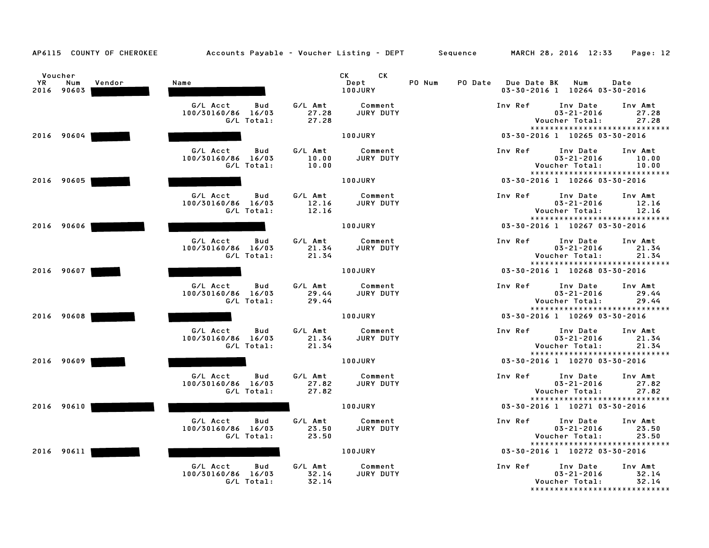| AP6115 COUNTY OF CHEROKEE                    |                                                        | Accounts Payable - Voucher Listing - DEPT Sequence       | MARCH 28, 2016 12:33<br>Page: 12                                                                                         |
|----------------------------------------------|--------------------------------------------------------|----------------------------------------------------------|--------------------------------------------------------------------------------------------------------------------------|
| Voucher<br>YR<br>Num<br>Vendor<br>2016 90603 | Name                                                   | CK<br>CK.<br>Dept<br>100JURY                             | PO Num<br>PO Date<br><b>Due Date BK</b><br>Num<br>Date<br>03-30-2016 1 10264 03-30-2016                                  |
|                                              | G/L Acct<br>Bud<br>100/30160/86<br>16/03<br>G/L Total: | G/L Amt<br>Comment<br>JURY DUTY<br>27.28<br>27.28        | Inv Ref<br>Inv Date<br>Inv Amt<br>$03 - 21 - 2016$<br>27.28<br>Voucher Total:<br>27.28<br>*****************************  |
| 2016 90604                                   |                                                        | 100JURY                                                  | 03-30-2016 1 10265 03-30-2016                                                                                            |
|                                              | G/L Acct<br>Bud<br>100/30160/86 16/03<br>G/L Total:    | G/L Amt<br>Comment<br>JURY DUTY<br>10.00<br>10.00        | Inv Ref<br>Inv Date<br>Inv Amt<br>$03 - 21 - 2016$<br>10.00<br>Voucher Total:<br>10.00<br>****************************** |
| 2016 90605                                   |                                                        | <b>100JURY</b>                                           | 03-30-2016 1 10266 03-30-2016                                                                                            |
|                                              | G/L Acct<br>Bud<br>100/30160/86 16/03<br>G/L Total:    | G/L Amt<br>Comment<br>JURY DUTY<br>12.16<br>12.16        | Inv Ref<br>Inv Date<br>Inv Amt<br>$03 - 21 - 2016$<br>12.16<br>12.16<br>Voucher Total:<br>*****************************  |
| 2016 90606                                   |                                                        | <b>100JURY</b>                                           | 03-30-2016 1 10267 03-30-2016                                                                                            |
|                                              | G/L Acct<br>Bud<br>100/30160/86 16/03<br>G/L Total:    | G/L Amt<br>Comment<br>21.34<br>JURY DUTY<br>21.34        | Inv Ref<br>Inv Date<br>Inv Amt<br>$03 - 21 - 2016$<br>21.34<br>21.34<br>Voucher Total:<br>*****************************  |
| 2016 90607                                   |                                                        | 100JURY                                                  | 03-30-2016 1 10268 03-30-2016                                                                                            |
|                                              | G/L Acct<br>Bud<br>100/30160/86 16/03<br>G/L Total:    | G/L Amt<br>Comment<br>29.44<br>JURY DUTY<br>29.44        | Inv Ref<br>Inv Date<br>Inv Amt<br>$03 - 21 - 2016$<br>29.44<br>Voucher Total:<br>29.44                                   |
| 2016 90608                                   |                                                        | 100JURY                                                  | *****************************<br>03-30-2016 1 10269 03-30-2016                                                           |
|                                              | G/L Acct<br>Bud<br>100/30160/86 16/03<br>G/L Total:    | G/L Amt<br>Comment<br>21.34<br>JURY DUTY<br>21.34        | Inv Ref<br>Inv Date<br>Inv Amt<br>$03 - 21 - 2016$<br>21.34<br>Voucher Total:<br>21.34<br>*****************************  |
| 2016 90609                                   |                                                        | 100JURY                                                  | 03-30-2016 1 10270 03-30-2016                                                                                            |
|                                              | G/L Acct<br>Bud<br>100/30160/86 16/03<br>G/L Total:    | G/L Amt<br>Comment<br>27.82<br><b>JURY DUTY</b><br>27.82 | Inv Ref<br>Inv Date<br>Inv Amt<br>$03 - 21 - 2016$<br>27.82<br>Voucher Total:<br>27.82                                   |
| 2016 90610                                   |                                                        | <b>100JURY</b>                                           | *****************************<br>03-30-2016 1 10271 03-30-2016                                                           |
|                                              | G/L Acct<br>Bud<br>100/30160/86 16/03<br>G/L Total:    | G/L Amt<br>Comment<br>JURY DUTY<br>23.50<br>23.50        | Inv Ref<br>Inv Date<br>Inv Amt<br>$03 - 21 - 2016$<br>23.50<br>Voucher Total:<br>23.50<br>*****************************  |
| 2016 90611                                   |                                                        | <b>100JURY</b>                                           | 03-30-2016 1 10272 03-30-2016                                                                                            |
|                                              | G/L Acct<br>Bud<br>100/30160/86 16/03<br>G/L Total:    | G/L Amt<br>Comment<br>32.14<br>JURY DUTY<br>32.14        | Inv Ref<br>Inv Date<br>Inv Amt<br>$03 - 21 - 2016$<br>32.14<br>32.14<br>Voucher Total:<br>*****************************  |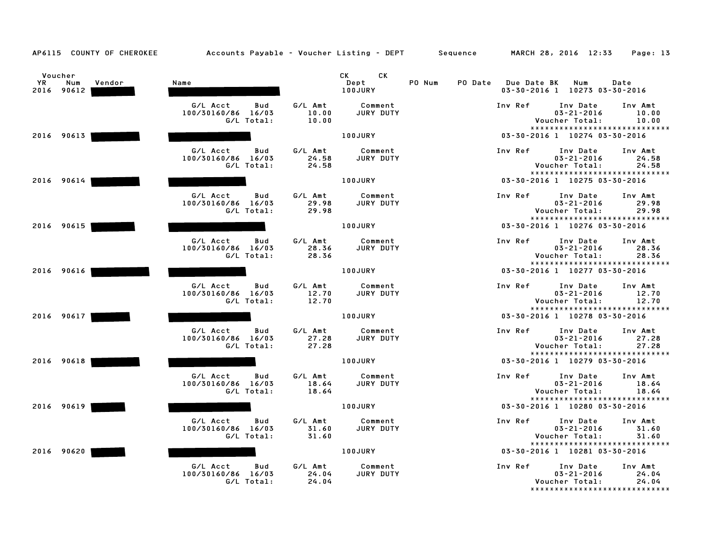| AP6115 COUNTY OF CHEROKEE                           | Accounts Payable - Voucher Listing - DEPT Sequence  |                           |                              |                   |                    | MARCH 28, 2016 12:33                                                              | Page: 13                  |
|-----------------------------------------------------|-----------------------------------------------------|---------------------------|------------------------------|-------------------|--------------------|-----------------------------------------------------------------------------------|---------------------------|
| Voucher<br><b>YR</b><br>Num<br>Vendor<br>2016 90612 | Name                                                |                           | CK<br>CK.<br>Dept<br>100JURY | PO Num<br>PO Date | <b>Due Date BK</b> | Num<br>03-30-2016 1 10273 03-30-2016                                              | Date                      |
|                                                     | G/L Acct<br>Bud<br>100/30160/86 16/03<br>G/L Total: | G/L Amt<br>10.00<br>10.00 | Comment<br>JURY DUTY         |                   | Inv Ref            | Inv Date<br>$03 - 21 - 2016$<br>Voucher Total:                                    | Inv Amt<br>10.00<br>10.00 |
| 2016 90613                                          |                                                     |                           | 100JURY                      |                   |                    | *****************************<br>03-30-2016 1 10274 03-30-2016                    |                           |
|                                                     | G/L Acct<br>Bud<br>100/30160/86 16/03<br>G/L Total: | G/L Amt<br>24.58<br>24.58 | Comment<br>JURY DUTY         |                   | Inv Ref            | Inv Date<br>$03 - 21 - 2016$<br>Voucher Total:<br>*****************************   | Inv Amt<br>24.58<br>24.58 |
| 2016 90614                                          |                                                     |                           | 100JURY                      |                   |                    | 03-30-2016 1 10275 03-30-2016                                                     |                           |
|                                                     | G/L Acct<br>Bud<br>100/30160/86 16/03<br>G/L Total: | G/L Amt<br>29.98<br>29.98 | Comment<br>JURY DUTY         |                   | Inv Ref            | Inv Date<br>$03 - 21 - 2016$<br>Voucher Total:<br>*****************************   | Inv Amt<br>29.98<br>29.98 |
| 2016 90615                                          |                                                     |                           | 100JURY                      |                   |                    | 03-30-2016 1 10276 03-30-2016                                                     |                           |
|                                                     | G/L Acct<br>Bud<br>100/30160/86 16/03<br>G/L Total: | G/L Amt<br>28.36<br>28.36 | Comment<br>JURY DUTY         |                   | Inv Ref            | Inv Date<br>$03 - 21 - 2016$<br>Voucher Total:<br>*****************************   | Inv Amt<br>28.36<br>28.36 |
| 2016 90616                                          |                                                     |                           | <b>100JURY</b>               |                   |                    | 03-30-2016 1 10277 03-30-2016                                                     |                           |
|                                                     | G/L Acct<br>Bud<br>100/30160/86 16/03<br>G/L Total: | G/L Amt<br>12.70<br>12.70 | Comment<br>JURY DUTY         |                   | Inv Ref            | Inv Date<br>$03 - 21 - 2016$<br>Voucher Total:                                    | Inv Amt<br>12.70<br>12.70 |
| 2016 90617                                          |                                                     |                           | 100JURY                      |                   |                    | *****************************<br>03-30-2016 1 10278 03-30-2016                    |                           |
|                                                     | G/L Acct<br>Bud<br>100/30160/86 16/03<br>G/L Total: | G/L Amt<br>27.28<br>27.28 | Comment<br>JURY DUTY         |                   | Inv Ref            | Inv Date<br>$03 - 21 - 2016$<br>Voucher Total:                                    | Inv Amt<br>27.28<br>27.28 |
| 2016 90618                                          |                                                     |                           | 100JURY                      |                   |                    | *****************************<br>03-30-2016 1 10279 03-30-2016                    |                           |
|                                                     | G/L Acct<br>Bud<br>100/30160/86 16/03<br>G/L Total: | G/L Amt<br>18.64<br>18.64 | Comment<br>JURY DUTY         |                   | Inv Ref            | Inv Date<br>$03 - 21 - 2016$<br>Voucher Total:                                    | Inv Amt<br>18.64<br>18.64 |
| 2016 90619                                          |                                                     |                           | 100JURY                      |                   |                    | *****************************<br>03-30-2016 1 10280 03-30-2016                    |                           |
|                                                     | G/L Acct<br>Bud<br>100/30160/86 16/03<br>G/L Total: | G/L Amt<br>31.60<br>31.60 | Comment<br>JURY DUTY         |                   | Inv Ref            | Inv Date<br>$03 - 21 - 2016$<br>Voucher Total:                                    | Inv Amt<br>31.60<br>31.60 |
| 2016 90620                                          |                                                     |                           | 100JURY                      |                   |                    | *****************************<br>03-30-2016 1 10281 03-30-2016                    |                           |
|                                                     | G/L Acct<br>Bud<br>100/30160/86 16/03<br>G/L Total: | G/L Amt<br>24.04<br>24.04 | Comment<br>JURY DUTY         |                   | Inv Ref            | Inv Date<br>$03 - 21 - 2016$<br>Voucher Total:<br>******************************* | Inv Amt<br>24.04<br>24.04 |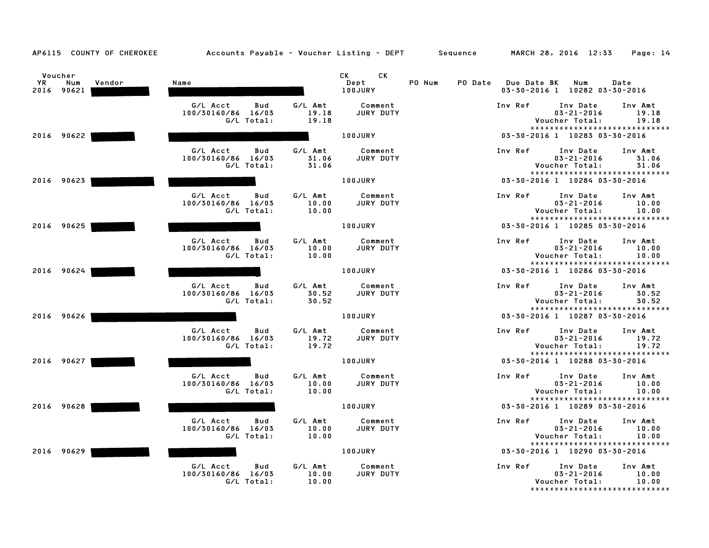| AP6115 COUNTY OF CHEROKEE                    | Accounts Payable - Voucher Listing - DEPT Sequence  |                           |                                                                                                                                                                                                                                                                |        |                     | MARCH 28, 2016 12:33                                                            | Page: 14                  |
|----------------------------------------------|-----------------------------------------------------|---------------------------|----------------------------------------------------------------------------------------------------------------------------------------------------------------------------------------------------------------------------------------------------------------|--------|---------------------|---------------------------------------------------------------------------------|---------------------------|
| Voucher<br>YR<br>Num<br>Vendor<br>2016 90621 | Name                                                |                           | CK and the set of the set of the set of the set of the set of the set of the set of the set of the set of the set of the set of the set of the set of the set of the set of the set of the set of the set of the set of the se<br>CК<br>Dept<br><b>100JURY</b> | PO Num | PO Date Due Date BK | Num<br>03-30-2016 1 10282 03-30-2016                                            | Date                      |
|                                              | G/L Acct<br>Bud<br>100/30160/86 16/03<br>G/L Total: | G/L Amt<br>19.18<br>19.18 | Comment<br>JURY DUTY                                                                                                                                                                                                                                           |        | Inv Ref             | Inv Date<br>$03 - 21 - 2016$<br>Voucher Total:<br>***************************** | Inv Amt<br>19.18<br>19.18 |
| 2016 90622                                   |                                                     |                           | 100JURY                                                                                                                                                                                                                                                        |        |                     | 03-30-2016 1 10283 03-30-2016                                                   |                           |
|                                              | G/L Acct<br>Bud<br>100/30160/86 16/03<br>G/L Total: | G/L Amt<br>31.06<br>31.06 | Comment<br>JURY DUTY                                                                                                                                                                                                                                           |        | Inv Ref             | Inv Date<br>$03 - 21 - 2016$<br>Voucher Total:                                  | Inv Amt<br>31.06<br>31.06 |
| 2016 90623                                   |                                                     |                           | 100JURY                                                                                                                                                                                                                                                        |        |                     | *****************************<br>03-30-2016 1 10284 03-30-2016                  |                           |
|                                              | G/L Acct<br>Bud<br>100/30160/86 16/03<br>G/L Total: | G/L Amt<br>10.00<br>10.00 | Comment<br>JURY DUTY                                                                                                                                                                                                                                           |        | Inv Ref             | Inv Date<br>$03 - 21 - 2016$<br>Voucher Total:<br>***************************** | Inv Amt<br>10.00<br>10.00 |
| 2016 90625                                   |                                                     |                           | 100JURY                                                                                                                                                                                                                                                        |        |                     | 03-30-2016 1 10285 03-30-2016                                                   |                           |
|                                              | G/L Acct<br>Bud<br>100/30160/86 16/03<br>G/L Total: | G/L Amt<br>10.00<br>10.00 | Comment<br>JURY DUTY                                                                                                                                                                                                                                           |        | Inv Ref             | Inv Date<br>$03 - 21 - 2016$<br>Voucher Total:<br>***************************** | Inv Amt<br>10.00<br>10.00 |
| 2016 90624                                   |                                                     |                           | 100JURY                                                                                                                                                                                                                                                        |        |                     | 03-30-2016 1 10286 03-30-2016                                                   |                           |
|                                              | G/L Acct<br>Bud<br>100/30160/86 16/03<br>G/L Total: | G/L Amt<br>30.52<br>30.52 | Comment<br>JURY DUTY                                                                                                                                                                                                                                           |        | Inv Ref             | Inv Date<br>$03 - 21 - 2016$<br>Voucher Total:<br>***************************** | Inv Amt<br>30.52<br>30.52 |
| 2016 90626                                   |                                                     |                           | 100JURY                                                                                                                                                                                                                                                        |        |                     | 03-30-2016 1 10287 03-30-2016                                                   |                           |
|                                              | G/L Acct<br>Bud<br>100/30160/86 16/03<br>G/L Total: | G/L Amt<br>19.72<br>19.72 | Comment<br>JURY DUTY                                                                                                                                                                                                                                           |        | Inv Ref             | Inv Date<br>$03 - 21 - 2016$<br>Voucher Total:                                  | Inv Amt<br>19.72<br>19.72 |
| 2016 90627                                   |                                                     |                           | 100JURY                                                                                                                                                                                                                                                        |        |                     | *****************************<br>03-30-2016 1 10288 03-30-2016                  |                           |
|                                              | G/L Acct<br>Bud<br>100/30160/86 16/03<br>G/L Total: | G/L Amt<br>10.00<br>10.00 | Comment<br>JURY DUTY                                                                                                                                                                                                                                           |        | Inv Ref             | Inv Date<br>$03 - 21 - 2016$<br>Voucher Total:                                  | Inv Amt<br>10.00<br>10.00 |
| 2016 90628                                   |                                                     |                           | 100JURY                                                                                                                                                                                                                                                        |        |                     | *****************************<br>03-30-2016 1 10289 03-30-2016                  |                           |
|                                              | G/L Acct<br>Bud<br>100/30160/86 16/03<br>G/L Total: | G/L Amt<br>10.00<br>10.00 | Comment<br>JURY DUTY                                                                                                                                                                                                                                           |        | Inv Ref             | Inv Date<br>$03 - 21 - 2016$<br>Voucher Total:<br>***************************** | Inv Amt<br>10.00<br>10.00 |
| 2016 90629                                   |                                                     |                           | 100JURY                                                                                                                                                                                                                                                        |        |                     | 03-30-2016 1 10290 03-30-2016                                                   |                           |
|                                              | G/L Acct<br>Bud<br>100/30160/86 16/03<br>G/L Total: | G/L Amt<br>10.00<br>10.00 | Comment<br>JURY DUTY                                                                                                                                                                                                                                           |        | Inv Ref             | Inv Date<br>$03 - 21 - 2016$<br>Voucher Total:<br>***************************** | Inv Amt<br>10.00<br>10.00 |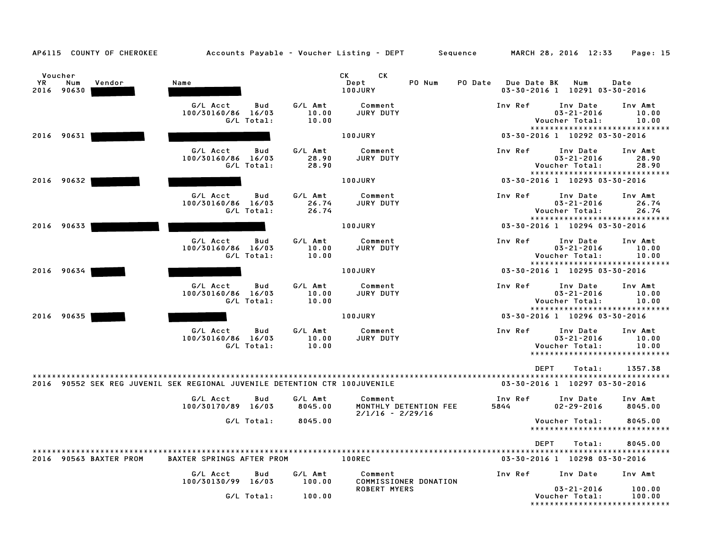| Voucher<br>YR<br>Num<br>2016 90630 | Vendor                                                                     | Name                           |                   |                           | CK<br>CK.<br>PO Num<br>Dept<br>100JURY                 | PO Date | Due Date BK     | Num<br>03-30-2016 1 10291 03-30-2016                                            | Date                      |
|------------------------------------|----------------------------------------------------------------------------|--------------------------------|-------------------|---------------------------|--------------------------------------------------------|---------|-----------------|---------------------------------------------------------------------------------|---------------------------|
|                                    |                                                                            | G/L Acct<br>100/30160/86 16/03 | Bud<br>G/L Total: | G/L Amt<br>10.00<br>10.00 | Comment<br>JURY DUTY                                   |         | Inv Ref         | Inv Date<br>$03 - 21 - 2016$<br>Voucher Total:                                  | Inv Amt<br>10.00<br>10.00 |
| 2016 90631                         |                                                                            |                                |                   |                           | <b>100JURY</b>                                         |         |                 | *****************************<br>03-30-2016 1 10292 03-30-2016                  |                           |
|                                    |                                                                            | G/L Acct<br>100/30160/86 16/03 | Bud<br>G/L Total: | G/L Amt<br>28.90<br>28.90 | Comment<br>JURY DUTY                                   |         | Inv Ref         | Inv Date<br>$03 - 21 - 2016$<br>Voucher Total:                                  | Inv Amt<br>28.90<br>28.90 |
| 2016 90632                         |                                                                            |                                |                   |                           | 100JURY                                                |         |                 | *****************************<br>03-30-2016 1 10293 03-30-2016                  |                           |
|                                    |                                                                            | G/L Acct<br>100/30160/86 16/03 | Bud<br>G/L Total: | G/L Amt<br>26.74<br>26.74 | Comment<br>JURY DUTY                                   |         | Inv Ref         | Inv Date<br>$03 - 21 - 2016$<br>Voucher Total:                                  | Inv Amt<br>26.74<br>26.74 |
| 2016 90633                         |                                                                            |                                |                   |                           | 100JURY                                                |         |                 | *****************************<br>03-30-2016 1 10294 03-30-2016                  |                           |
|                                    |                                                                            | G/L Acct<br>100/30160/86 16/03 | Bud<br>G/L Total: | G/L Amt<br>10.00<br>10.00 | Comment<br>JURY DUTY                                   |         | Inv Ref         | Inv Date<br>$03 - 21 - 2016$<br>Voucher Total:                                  | Inv Amt<br>10.00<br>10.00 |
| 2016 90634                         |                                                                            |                                |                   |                           | 100JURY                                                |         |                 | *****************************<br>03-30-2016 1 10295 03-30-2016                  |                           |
|                                    |                                                                            | G/L Acct<br>100/30160/86 16/03 | Bud<br>G/L Total: | G/L Amt<br>10.00<br>10.00 | Comment<br>JURY DUTY                                   |         | Inv Ref         | Inv Date<br>$03 - 21 - 2016$<br>Voucher Total:<br>***************************** | Inv Amt<br>10.00<br>10.00 |
| 2016 90635                         |                                                                            |                                |                   |                           | 100JURY                                                |         |                 | 03-30-2016 1 10296 03-30-2016                                                   |                           |
|                                    |                                                                            | G/L Acct<br>100/30160/86 16/03 | Bud<br>G/L Total: | G/L Amt<br>10.00<br>10.00 | Comment<br>JURY DUTY                                   |         | Inv Ref         | Inv Date<br>$03 - 21 - 2016$<br>Voucher Total:<br>***************************** | Inv Amt<br>10.00<br>10.00 |
|                                    | 2016 90552 SEK REG JUVENIL SEK REGIONAL JUVENILE DETENTION CTR 100JUVENILE |                                |                   |                           |                                                        |         |                 | <b>DEPT</b><br>Total:<br>03-30-2016 1 10297 03-30-2016                          | 1357.38                   |
|                                    |                                                                            | G/L Acct<br>100/30170/89 16/03 | Bud               | G/L Amt<br>8045.00        | Comment<br>MONTHLY DETENTION FEE<br>$2/1/16 - 2/29/16$ |         | Inv Ref<br>5844 | Inv Date<br>$02 - 29 - 2016$                                                    | Inv Amt<br>8045.00        |
|                                    |                                                                            |                                | G/L Total:        | 8045.00                   |                                                        |         |                 | Voucher Total:<br>*****************************                                 | 8045.00                   |
|                                    | 2016 90563 BAXTER PROM                                                     | BAXTER SPRINGS AFTER PROM      |                   |                           | <b>100REC</b>                                          |         |                 | <b>DEPT</b><br>Total:<br>03-30-2016 1 10298 03-30-2016                          | 8045.00                   |
|                                    |                                                                            | G/L Acct<br>100/30130/99 16/03 | Bud               | G/L Amt<br>100.00         | Comment<br>COMMISSIONER DONATION                       |         | Inv Ref         | Inv Date                                                                        | Inv Amt                   |
|                                    |                                                                            |                                | G/L Total:        | 100.00                    | <b>ROBERT MYERS</b>                                    |         |                 | $03 - 21 - 2016$<br>Voucher Total:<br>*****************************             | 100.00<br>100.00          |

AP6115 COUNTY OF CHEROKEE Accounts Payable - Voucher Listing - DEPT Sequence MARCH 28, 2016 12:33 Page: 15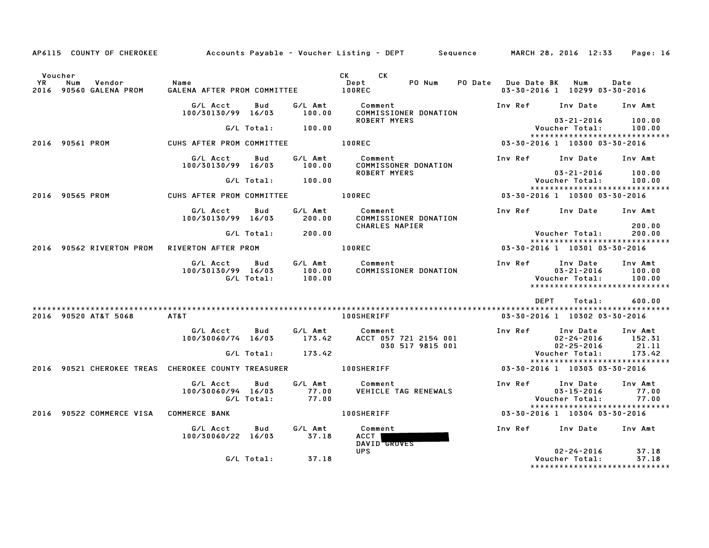|               |                                                                    |                                                  |                       |                           | AP6115 COUNTY OF CHEROKEE Accounts Payable – Voucher Listing – DEPT Sequence MARCH 28, 2016 12:33 Page: 16 |                         |                                                                     |                             |
|---------------|--------------------------------------------------------------------|--------------------------------------------------|-----------------------|---------------------------|------------------------------------------------------------------------------------------------------------|-------------------------|---------------------------------------------------------------------|-----------------------------|
| Voucher<br>YR | Num<br>Vendor<br>2016 90560 GALENA PROM                            | Name<br>GALENA AFTER PROM COMMITTEE 100REC       |                       |                           | CK CK<br>PO Num<br>Dept                                                                                    | PO Date Due Date BK Num | 03-30-2016 1 10299 03-30-2016                                       | Date                        |
|               |                                                                    | G/L Acct<br>100/30130/99 16/03                   | Bud                   | G/L Amt<br>100.00         | Comment<br>COMMISSIONER DONATION                                                                           |                         | Inv Ref Inv Date Inv Amt                                            |                             |
|               |                                                                    |                                                  | $G/L$ Total: $100.00$ |                           | ROBERT MYERS                                                                                               |                         | 03-21-2016<br>Voucher Total:                                        | 100.00<br>100.00            |
|               | 2016 90561 PROM                                                    | CUHS AFTER PROM COMMITTEE <b>100REC</b>          |                       |                           |                                                                                                            |                         | ******************************<br>03-30-2016 1 10300 03-30-2016     |                             |
|               |                                                                    | G/L Acct Bud<br>100/30130/99 16/03               |                       | G/L Amt<br>100.00         | Comment<br>COMMISSONER DONATION                                                                            |                         | Inv Ref Inv Date Inv Amt                                            |                             |
|               |                                                                    |                                                  | G/L Total: 100.00     |                           | <b>ROBERT MYERS</b>                                                                                        |                         | 03-21-2016<br>Voucher Total:                                        | 100.00<br>100.00            |
|               | 2016 90565 PROM                                                    | CUHS AFTER PROM COMMITTEE 100REC                 |                       |                           |                                                                                                            |                         | *****************************<br>03-30-2016 1 10300 03-30-2016      |                             |
|               |                                                                    | G/L Acct<br>100/30130/99 16/03                   | Bud                   | G/L Amt<br>200.00         | Comment<br>COMMISSIONER DONATION                                                                           |                         | Inv Ref Inv Date Inv Amt                                            |                             |
|               |                                                                    |                                                  | G/L Total:            | 200.00                    | CHARLES NAPIER                                                                                             |                         | Voucher Total:                                                      | 200.00<br>200.00            |
|               | 2016 90562 RIVERTON PROM                                           | RIVERTON AFTER PROM                              |                       |                           | <b>100REC</b>                                                                                              |                         | *****************************<br>03-30-2016 1 10301 03-30-2016      |                             |
|               |                                                                    | G/L Acct<br>100/30130/99 16/03<br>G/L Total:     | Bud                   | 100.00<br>100.00          | G/L Amt Comment<br>COMMISSIONER DONATION                                                                   | Inv Ref                 | Inv Date<br>$03 - 21 - 2016$<br>Voucher Total:                      | Inv Amt<br>100.00<br>100.00 |
|               |                                                                    |                                                  |                       |                           |                                                                                                            |                         | DEPT Total:                                                         | 600.00                      |
|               | 2016 90520 AT&T 5068                                               | AT&T                                             |                       |                           | <b>100SHERIFF</b>                                                                                          |                         | 03-30-2016 1 10302 03-30-2016                                       |                             |
|               |                                                                    | G/L Acct                                         | Bud                   |                           | G/L Amt Comment<br>100/30060/74 16/03 173.42 ACCT 057 721 2154 001<br>030 517 9815 001                     |                         | Inv Ref Inv Date Inv Amt<br>02-24-2016<br>$02 - 25 - 2016$          | 152.31<br>21.11             |
|               |                                                                    |                                                  | G/L Total: 173.42     |                           |                                                                                                            |                         | Voucher Total:<br>*****************************                     | 173.42                      |
|               | 2016 90521 CHEROKEE TREAS CHEROKEE COUNTY TREASURER THE LOOSHERIFF |                                                  |                       |                           |                                                                                                            |                         | 03-30-2016 1 10303 03-30-2016                                       |                             |
|               |                                                                    | G/L Acct Bud<br>100/30060/94 16/03<br>G/L Total: |                       | G/L Amt<br>77.00<br>77.00 | Comment<br>VEHICLE TAG RENEWALS                                                                            | Inv Ref                 | Inv Date<br>$03 - 15 - 2016$<br>Voucher Total:                      | Inv Amt<br>77.00<br>77.00   |
|               | 2016 90522 COMMERCE VISA COMMERCE BANK                             |                                                  |                       |                           | <b>100SHERIFF</b>                                                                                          |                         | *****************************<br>03-30-2016 1 10304 03-30-2016      |                             |
|               |                                                                    | G/L Acct<br>100/30060/22 16/03                   | Bud                   | G/L Amt<br>37.18          | Comment<br>ACCT  <br>DAVID GROVES                                                                          |                         | Inv Ref      Inv Date     Inv Amt                                   |                             |
|               |                                                                    |                                                  | G/L Total:            | 37.18                     | <b>UPS</b>                                                                                                 |                         | $02 - 24 - 2016$<br>Voucher Total:<br>***************************** | 37.18<br>37.18              |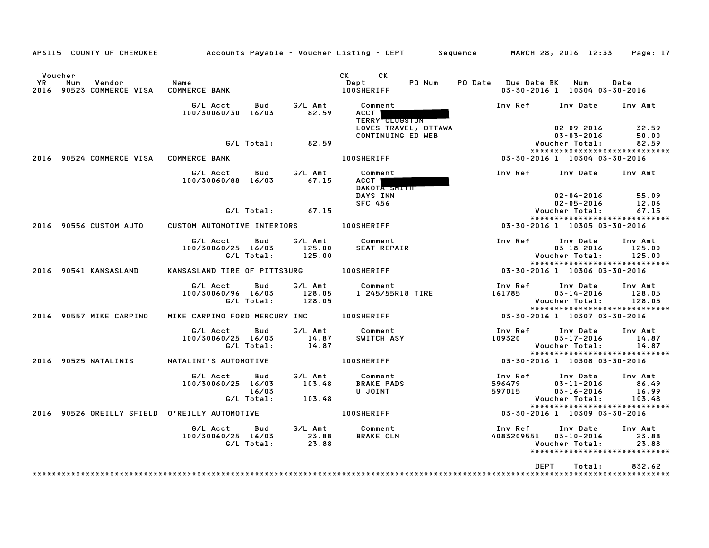| AP6115 COUNTY OF CHEROKEE                                  |                                                              |                             | Accounts Payable – Voucher Listing – DEPT         Sequence         MARCH 28, 2016  12:33                                                                                                                                                                                    |                             |                                                                                 | Page: 17                            |
|------------------------------------------------------------|--------------------------------------------------------------|-----------------------------|-----------------------------------------------------------------------------------------------------------------------------------------------------------------------------------------------------------------------------------------------------------------------------|-----------------------------|---------------------------------------------------------------------------------|-------------------------------------|
| Voucher<br>YR<br>Num<br>Vendor<br>2016 90523 COMMERCE VISA | Name<br><b>COMMERCE BANK</b>                                 |                             | CK the control of the control of the control of the control of the control of the control of the control of the control of the control of the control of the control of the control of the control of the control of the contr<br>CK<br>Dept<br>PO Num<br><b>100SHERIFF</b> | PO Date Due Date BK         | Num<br>03-30-2016 1 10304 03-30-2016                                            | Date                                |
|                                                            | G/L Acct<br>Bud<br>100/30060/30 16/03                        | G/L Amt<br>82.59            | Comment<br>ACCT I<br><b>TERRY CLUGSTON</b><br>LOVES TRAVEL, OTTAWA                                                                                                                                                                                                          | Inv Ref                     | Inv Date<br>$02 - 09 - 2016$                                                    | Inv Amt<br>32.59                    |
|                                                            | G/L Total:                                                   | 82.59                       | CONTINUING ED WEB                                                                                                                                                                                                                                                           |                             | $03 - 03 - 2016$<br>Voucher Total:<br>*****************************             | 50.00<br>82.59                      |
| 2016 90524 COMMERCE VISA COMMERCE BANK                     |                                                              |                             | <b>100SHERIFF</b>                                                                                                                                                                                                                                                           |                             | 03-30-2016 1 10304 03-30-2016                                                   |                                     |
|                                                            | G/L Acct<br>Bud<br>100/30060/88 16/03                        | G/L Amt<br>67.15            | Comment<br>ACCT  <br>DAKOTA SMITH<br>DAYS INN                                                                                                                                                                                                                               | Inv Ref                     | Inv Date<br>$02 - 04 - 2016$                                                    | Inv Amt<br>55.09                    |
|                                                            |                                                              |                             | <b>SFC 456</b>                                                                                                                                                                                                                                                              |                             | $02 - 05 - 2016$                                                                | 12.06                               |
|                                                            | G/L Total:                                                   | 67.15                       |                                                                                                                                                                                                                                                                             |                             | Voucher Total:<br>*****************************                                 | 67.15                               |
| 2016 90556 CUSTOM AUTO                                     | CUSTOM AUTOMOTIVE INTERIORS 100SHERIFF                       |                             |                                                                                                                                                                                                                                                                             |                             | 03-30-2016 1 10305 03-30-2016                                                   |                                     |
|                                                            | G/L Acct<br>Bud<br>100/30060/25 16/03<br>G/L Total:          | G/L Amt<br>125.00<br>125.00 | Comment<br><b>SEAT REPAIR</b>                                                                                                                                                                                                                                               | Inv Ref                     | Inv Date<br>$03 - 18 - 2016$<br>Voucher Total:<br>***************************** | Inv Amt<br>125.00<br>125.00         |
| 2016 90541 KANSASLAND                                      | KANSASLAND TIRE OF PITTSBURG                                 |                             | <b>100SHERIFF</b>                                                                                                                                                                                                                                                           |                             | 03-30-2016 1 10306 03-30-2016                                                   |                                     |
|                                                            | G/L Acct<br>Bud<br>100/30060/96 16/03<br>G/L Total:          | G/L Amt<br>128.05<br>128.05 | Comment<br>1 245/55R18 TIRE                                                                                                                                                                                                                                                 | Inv Ref<br>161785           | Inv Date<br>$03 - 14 - 2016$<br>Voucher Total:<br>***************************** | Inv Amt<br>128.05<br>128.05         |
| 2016 90557 MIKE CARPINO                                    | MIKE CARPINO FORD MERCURY INC                                |                             | <b>100SHERIFF</b>                                                                                                                                                                                                                                                           |                             | 03-30-2016 1 10307 03-30-2016                                                   |                                     |
|                                                            | G/L Acct<br>Bud<br>100/30060/25 16/03<br>G/L Total:          | G/L Amt<br>14.87<br>14.87   | Comment<br>SWITCH ASY                                                                                                                                                                                                                                                       | Inv Ref<br>109320           | Inv Date<br>$03 - 17 - 2016$<br>Voucher Total:<br>***************************** | Inv Amt<br>14.87<br>14.87           |
| 2016 90525 NATALINIS                                       | NATALINI'S AUTOMOTIVE                                        |                             | <b>100SHERIFF</b>                                                                                                                                                                                                                                                           |                             | 03-30-2016 1 10308 03-30-2016                                                   |                                     |
|                                                            | G/L Acct<br>Bud<br>100/30060/25 16/03<br>16/03<br>G/L Total: | G/L Amt<br>103.48<br>103.48 | Comment<br><b>BRAKE PADS</b><br>U JOINT                                                                                                                                                                                                                                     | Inv Ref<br>596479<br>597015 | Inv Date<br>$03 - 11 - 2016$<br>$03 - 16 - 2016$<br>Voucher Total:              | Inv Amt<br>86.49<br>16.99<br>103.48 |
| 2016 90526 OREILLY SFIELD O'REILLY AUTOMOTIVE              |                                                              |                             | <b>100SHERIFF</b>                                                                                                                                                                                                                                                           |                             | *****************************<br>03-30-2016 1 10309 03-30-2016                  |                                     |
|                                                            | G/L Acct<br>Bud<br>100/30060/25 16/03<br>G/L Total:          | G/L Amt<br>23.88<br>23.88   | Comment<br><b>BRAKE CLN</b>                                                                                                                                                                                                                                                 | Inv Ref<br>4083209551       | Inv Date<br>$03 - 10 - 2016$<br>Voucher Total:<br>***************************** | Inv Amt<br>23.88<br>23.88           |
|                                                            |                                                              |                             |                                                                                                                                                                                                                                                                             |                             | <b>DEPT</b><br>Total:                                                           | 832.62                              |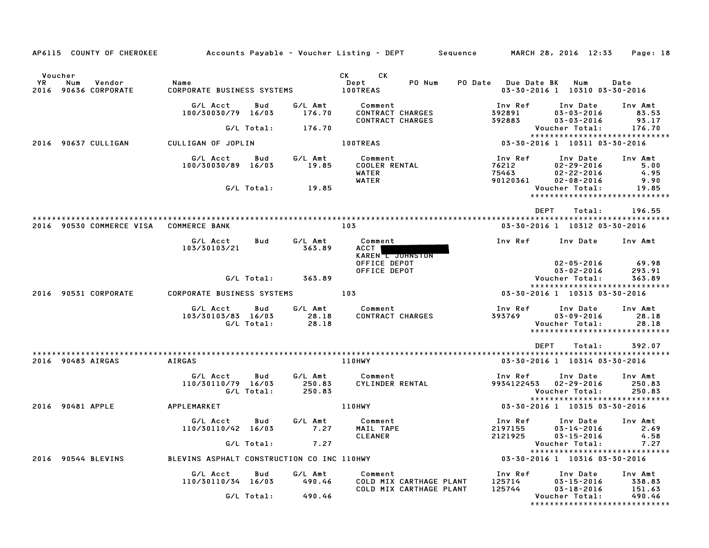| AP6115 COUNTY OF CHEROKEE                                     |                                              |            |                   | Accounts Payable – Voucher Listing – DEPT         Sequence         MARCH 28, 2016 12:33 |                             |                                                                                   | Page: 18                    |
|---------------------------------------------------------------|----------------------------------------------|------------|-------------------|-----------------------------------------------------------------------------------------|-----------------------------|-----------------------------------------------------------------------------------|-----------------------------|
| Voucher<br><b>YR</b><br>Num<br>Vendor<br>2016 90636 CORPORATE | Name<br>CORPORATE BUSINESS SYSTEMS 100TREAS  |            |                   | CK CK<br>Dept<br>PO Num                                                                 |                             | PO Date Due Date BK Num<br>03-30-2016 1 10310 03-30-2016                          | Date                        |
|                                                               | G/L Acct<br>100/30030/79 16/03               | Bud        | G/L Amt<br>176.70 | Comment<br><b>CONTRACT CHARGES</b>                                                      | Inv Ref<br>392891           | Inv Date<br>$03 - 03 - 2016$                                                      | Inv Amt<br>83.53            |
|                                                               |                                              | G/L Total: | 176.70            | CONTRACT CHARGES                                                                        | 392883                      | $03 - 03 - 2016$<br>Voucher Total:                                                | 93.17<br>176.70             |
| 2016 90637 CULLIGAN                                           | CULLIGAN OF JOPLIN                           |            |                   | <b>100TREAS</b>                                                                         |                             | *****************************<br>03-30-2016 1 10311 03-30-2016                    |                             |
|                                                               |                                              |            |                   |                                                                                         |                             |                                                                                   |                             |
|                                                               | G/L Acct Bud<br>100/30030/89 16/03           |            | G⁄L Amt<br>19.85  | Comment<br><b>COOLER RENTAL</b><br>WATER                                                | Inv Ref<br>76212<br>75463   | Inv Date<br>$02 - 29 - 2016$<br>$02 - 22 - 2016$                                  | Inv Amt<br>5.00<br>4.95     |
|                                                               |                                              | G/L Total: | 19.85             | WATER                                                                                   | 90120361                    | $02 - 08 - 2016$<br>Voucher Total:                                                | 9.90<br>19.85               |
|                                                               |                                              |            |                   |                                                                                         |                             | DEPT<br>Total:                                                                    | 196.55                      |
| 2016 90530 COMMERCE VISA COMMERCE BANK                        |                                              |            |                   | 103                                                                                     |                             | 03-30-2016 1 10312 03-30-2016                                                     |                             |
|                                                               | G/L Acct<br>103/30103/21                     | Bud        | G/L Amt<br>363.89 | Comment<br>ACCT  <br>KAREN I JOHNSTON                                                   | Inv Ref                     | Inv Date                                                                          | Inv Amt                     |
|                                                               |                                              |            |                   | OFFICE DEPOT<br>OFFICE DEPOT                                                            |                             | $02 - 05 - 2016$<br>$03 - 02 - 2016$                                              | 69.98<br>293.91             |
|                                                               |                                              |            | G/L Total: 363.89 |                                                                                         |                             | Voucher Total:                                                                    | 363.89                      |
| 2016 90531 CORPORATE                                          | CORPORATE BUSINESS SYSTEMS 103               |            |                   |                                                                                         |                             | *****************************<br>03-30-2016 1 10313 03-30-2016                    |                             |
|                                                               |                                              |            |                   |                                                                                         |                             |                                                                                   |                             |
|                                                               | G/L Acct Bud<br>103/30103/83 16/03           | G/L Total: | 28.18<br>28.18    | G/L Amt Comment<br>CONTRACT CHARGES                                                     | 393769                      | Inv Ref Inv Date<br>03-09-2016<br>Voucher Total:<br>***************************** | Inv Amt<br>28.18<br>28.18   |
|                                                               |                                              |            |                   |                                                                                         |                             |                                                                                   |                             |
| 2016 90483 AIRGAS                                             | AIRGAS                                       |            |                   | 110HWY                                                                                  |                             | DEPT<br>Total:<br>03-30-2016 1 10314 03-30-2016                                   | 392.07                      |
|                                                               | G/L Acct<br>110/30110/79 16/03<br>G/L Total: | Bud        | 250.83<br>250.83  | G/L Amt Comment<br>CYLINDER RENTAL                                                      | Inv Ref                     | Inv Date<br>9934122453 02-29-2016<br>Voucher Total:                               | Inv Amt<br>250.83<br>250.83 |
| 2016 90481 APPLE                                              | APPLEMARKET                                  |            |                   | 110HWY                                                                                  |                             | 03-30-2016 1 10315 03-30-2016                                                     |                             |
|                                                               | G/L Acct<br>110/30110/42 16/03               | Bud        | G/L Amt<br>7.27   | Comment<br>MAIL TAPE                                                                    | 2197155                     | Inv Ref Inv Date<br>$03 - 14 - 2016$                                              | Inv Amt<br>2.69             |
|                                                               |                                              | G/L Total: | 7.27              | <b>CLEANER</b>                                                                          |                             | 2121925 03-15-2016 4.58<br>Voucher Total:                                         | 7.27                        |
|                                                               |                                              |            |                   |                                                                                         |                             | *****************************                                                     |                             |
| 2016 90544 BLEVINS                                            | BLEVINS ASPHALT CONSTRUCTION CO INC 110HWY   |            |                   |                                                                                         |                             | 03-30-2016 1 10316 03-30-2016                                                     |                             |
|                                                               | G/L Acct<br>110/30110/34 16/03               | Bud        | G/L Amt<br>490.46 | Comment<br>COLD MIX CARTHAGE PLANT<br>COLD MIX CARTHAGE PLANT                           | Inv Ref<br>125714<br>125744 | Inv Date<br>$03 - 15 - 2016$<br>$03 - 18 - 2016$                                  | Inv Amt<br>338.83<br>151.63 |
|                                                               |                                              | G/L Total: | 490.46            |                                                                                         |                             | Voucher Total:<br>*****************************                                   | 490.46                      |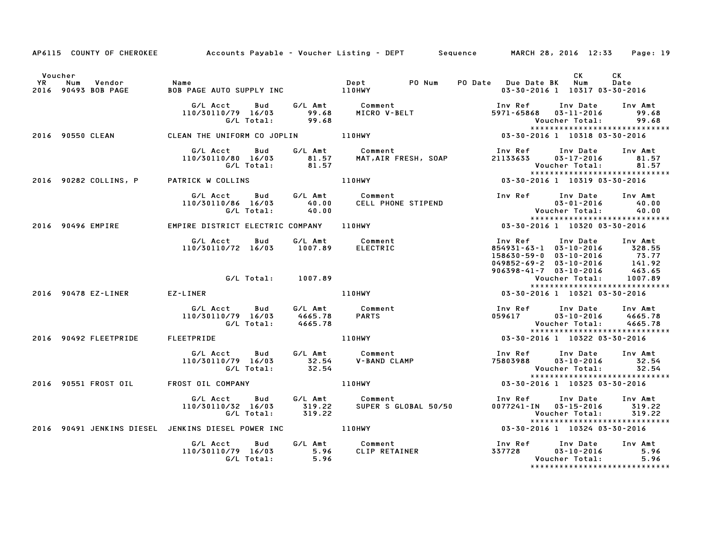|                      |                                         | AP6115 COUNTY OF CHEROKEE Accounts Payable – Voucher Listing – DEPT Sequence MARCH 28, 2016 12:33 Page: 19 |         |                                                                                                                                |                                                                                                                                                                                                                                                                        |                                                                                                                                                                                       |                  |
|----------------------|-----------------------------------------|------------------------------------------------------------------------------------------------------------|---------|--------------------------------------------------------------------------------------------------------------------------------|------------------------------------------------------------------------------------------------------------------------------------------------------------------------------------------------------------------------------------------------------------------------|---------------------------------------------------------------------------------------------------------------------------------------------------------------------------------------|------------------|
| Voucher<br><b>YR</b> | Num<br>Vendor<br>2016 90493 BOB PAGE    | <b>Name</b><br>Ror                                                                                         |         |                                                                                                                                | PO Date Due Date BK Num                                                                                                                                                                                                                                                | CK<br>03-30-2016 1 10317 03-30-2016                                                                                                                                                   | CK<br>Date       |
|                      |                                         |                                                                                                            |         | G/L Acct  Bud  G/L Amt  Comment<br>110/30110/79 16/03  99.68  MICRO  V-BELT<br>G/L Total:  99.68                               |                                                                                                                                                                                                                                                                        | Inv Ref      Inv Date     Inv Amt<br>5971-65868  03-11-2016<br>Voucher Total: 99.68                                                                                                   | 99.68            |
|                      |                                         | 2016 90550 CLEAN CLEAN THE UNIFORM CO JOPLIN 110HWY                                                        |         |                                                                                                                                |                                                                                                                                                                                                                                                                        | *****************************                                                                                                                                                         |                  |
|                      |                                         |                                                                                                            |         | G/L Acct     Bud     G/L Amt     Comment<br>110/30110/80   16/03       81.57     MAT,AIR FRESH, SOAP<br>G/L Total:       81.57 |                                                                                                                                                                                                                                                                        | Inv Ref      Inv Date    Inv Amt<br>21133633       03–17–2016         81.57                                                                                                           |                  |
|                      | 2016 90282 COLLINS, P PATRICK W COLLINS |                                                                                                            |         | <b>110HWY</b>                                                                                                                  |                                                                                                                                                                                                                                                                        | *****************************                                                                                                                                                         |                  |
|                      |                                         | 110/30110/86 16/03                                                                                         |         |                                                                                                                                | Inv Ref Inv Date<br>$\begin{array}{cccc} & 03\texttt{-}01\texttt{-}2016 & & 40.00 \\ \texttt{Vouchen Tot} & \texttt{1} & & 40.00 \\ \texttt{vouche} & & 40.00 \\ \texttt{r} & \texttt{r} & \texttt{r} & \texttt{r} & \texttt{r} & \texttt{r} & \texttt{r} \end{array}$ | $03 - 01 - 2016$<br>*****************************                                                                                                                                     | Inv Amt<br>40.00 |
|                      |                                         | 2016 90496 EMPIRE <b>EMPIRE DISTRICT ELECTRIC COMPANY</b> 110HWY                                           |         |                                                                                                                                | $03 - 30 - 2016$ 1 $10320$ $03 - 30 - 2016$                                                                                                                                                                                                                            |                                                                                                                                                                                       |                  |
|                      |                                         | G/L Acct  Bud  G/L Amt  Comment<br>110/30110/72 16/03  1007.89  ELECTRIC                                   |         |                                                                                                                                |                                                                                                                                                                                                                                                                        | Inv Ref Inv Date Inv Amt<br>854931-63-1 03-10-2016 328.55<br>158630-59-0 03-10-2016 73.77<br>049852-69-2 03-10-2016 141.92<br>906398-41-7 03-10-2016 463.65<br>Voucher Total: 1007.89 |                  |
|                      |                                         | G/L Total: 1007.89                                                                                         |         |                                                                                                                                | $049852-69-z$ $03-10-2016$ $0496598-41-7$ $03-30-2016$ $04968-64-7$ $040406-7641: 1007.$ $03-30-2016$ $04965-69-z$ $04965-69-z$ $05-10-2016$ $04965-69-z$ $05-10-2016$ $05-10-2016$ $05-30-2016$                                                                       | *****************************                                                                                                                                                         |                  |
|                      |                                         | 2016 90478 EZ-LINER EZ-LINER                                                                               | 110HWY  |                                                                                                                                |                                                                                                                                                                                                                                                                        |                                                                                                                                                                                       |                  |
|                      |                                         | G/L Acct Bud<br>110/30110/79 16/03<br>G/L Total: 4665.78                                                   | 4665.78 | G/L Amt Comment                                                                                                                |                                                                                                                                                                                                                                                                        | Inv Ref      Inv Date     Inv Amt<br>059617          03–10–2016       4665.78<br>*****************************                                                                        | 4665.78          |
|                      | 2016 90492 FLEETPRIDE FLEETPRIDE        |                                                                                                            |         |                                                                                                                                |                                                                                                                                                                                                                                                                        |                                                                                                                                                                                       |                  |
|                      |                                         |                                                                                                            |         | o ـ Acct bud G/LAmt Comment<br>110/30110/79 16/03 32.54 V-BAND CLAMP<br>G/L Total: 32.54                                       |                                                                                                                                                                                                                                                                        | Inv Ref Inv Date Inv Amt<br>75803988  03-10-2016  32.54<br>Voucher Total: 32.54<br>*****************************                                                                      |                  |
|                      |                                         | 2016 90551 FROST OIL FROST OIL COMPANY                                                                     |         | 110HWY                                                                                                                         | $03 - 30 - 2016$ 1 10323 03-30-2016                                                                                                                                                                                                                                    |                                                                                                                                                                                       |                  |
|                      |                                         |                                                                                                            |         |                                                                                                                                |                                                                                                                                                                                                                                                                        | Inv Ref      Inv Date     Inv Amt<br>0077241-IN 03-15-2016 319.22<br>Voucher Total: 319.22<br>*****************************                                                           |                  |
|                      |                                         | 2016 90491 JENKINS DIESEL JENKINS DIESEL POWER INC ______________________________                          |         |                                                                                                                                | 03-30-2016 1 10324 03-30-2016                                                                                                                                                                                                                                          |                                                                                                                                                                                       |                  |
|                      |                                         |                                                                                                            |         |                                                                                                                                |                                                                                                                                                                                                                                                                        | Inv Ref       Inv Date      Inv Amt<br>337728          03–10–2016               5.96<br>Voucher Total:<br>*****************************                                               | 5.96             |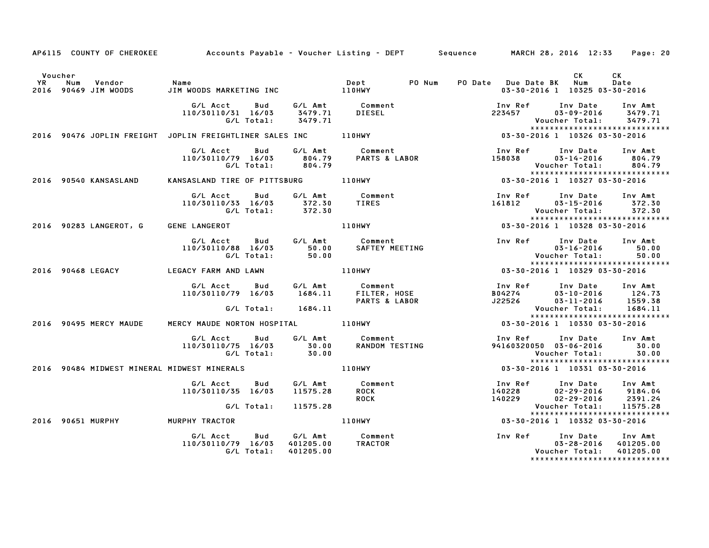|                      |     |                                  |                                                                |                   |                    | AP6115 COUNTY OF CHEROKEE Accounts Payable - Voucher Listing - DEPT Sequence MARCH 28, 2016 12:33 |                         |         |                                                               | Page: 20                                                                              |
|----------------------|-----|----------------------------------|----------------------------------------------------------------|-------------------|--------------------|---------------------------------------------------------------------------------------------------|-------------------------|---------|---------------------------------------------------------------|---------------------------------------------------------------------------------------|
| Voucher<br><b>YR</b> | Num |                                  |                                                                |                   |                    |                                                                                                   | PO Date Due Date BK Num |         | CK.                                                           | CK<br>Date                                                                            |
|                      |     | 2016 90469 JIM WOODS             |                                                                |                   |                    |                                                                                                   |                         |         | 03-30-2016 1 10325 03-30-2016                                 |                                                                                       |
|                      |     |                                  | G/L Acct<br>110/30110/31 16/03                                 | Bud               |                    | G/L Amt Comment<br>3479.71 DIESEL                                                                 |                         | 223457  | Inv Ref Inv Date<br>03-09-2016                                | Inv Amt<br>3479.71                                                                    |
|                      |     |                                  |                                                                | G/L Total:        | 3479.71            |                                                                                                   |                         |         | Voucher Total:                                                | 3479.71<br>*****************************                                              |
|                      |     |                                  |                                                                |                   |                    | 2016 90476 JOPLIN FREIGHT JOPLIN FREIGHTLINER SALES INC 110HWY                                    |                         |         | 03-30-2016 1 10326 03-30-2016                                 |                                                                                       |
|                      |     |                                  |                                                                |                   |                    | 110/30110/79 16/03<br>110/30110/79 16/03 804.79 PARTS & LABOR<br>G/L Total: 804.79                |                         |         | Inv Ref      Inv Date     Inv Amt                             | 158038 03-14-2016 804.79<br>Voucher Total: 804.79                                     |
|                      |     | 2016 90540 KANSASLAND            | KANSASLAND TIRE OF PITTSBURG 110HWY                            |                   |                    |                                                                                                   |                         |         | 03-30-2016 1 10327 03-30-2016                                 |                                                                                       |
|                      |     |                                  | G/L Acct Bud<br>110/30110/33 16/03                             | G/L Total:        | 372.30<br>372.30   | G/L Amt Comment<br><b>TIRES</b>                                                                   |                         |         | Inv Ref Inv Date Inv Amt                                      | 161812 03-15-2016 372.30<br>Voucher Total: 372.30                                     |
|                      |     | 2016 90283 LANGEROT, G           | <b>GENE LANGEROT</b>                                           |                   |                    |                                                                                                   |                         |         |                                                               | *****************************                                                         |
|                      |     |                                  | G/L Acct Bud<br>110/30110/88 16/03                             | G/L Total:        | 50.00<br>50.00     | G/L Amt Comment<br>SAFTEY MEETING                                                                 |                         |         | Inv Ref      Inv Date<br>$03 - 16 - 2016$                     | Inv Amt<br>50.00<br>50.00                                                             |
|                      |     | 2016 90468 LEGACY                | LEGACY FARM AND LAWN                                           |                   |                    |                                                                                                   |                         |         |                                                               | *****************************                                                         |
|                      |     |                                  | G/L Acct<br>110/30110/79 16/03                                 | Bud               |                    | G/L Amt         Comment<br>1684.11       FILTER, HOSE<br>PARTS & LABOR                            | J22526                  | B04274  | Inv Ref      Inv Date<br>$03 - 10 - 2016$<br>$03 - 11 - 2016$ | Inv Amt<br>124.73<br>1559.38                                                          |
|                      |     |                                  |                                                                |                   | G/L Total: 1684.11 |                                                                                                   |                         |         | Voucher Total:                                                | 1684.11<br>*****************************                                              |
|                      |     | 2016 90495 MERCY MAUDE           | MERCY MAUDE NORTON HOSPITAL 110HWY                             |                   |                    |                                                                                                   |                         |         | 03-30-2016 1 10330 03-30-2016                                 |                                                                                       |
|                      |     |                                  | G/L Acct   Bud<br>110/30110/75 16/03 30.00<br>G/L Total: 30.00 |                   |                    | G/L Amt Comment<br>RANDOM TESTING                                                                 |                         |         | Inv Ref Inv Date Inv Amt                                      | 94160320050 03-06-2016 30.00<br>Voucher Total: 30.00<br>***************************** |
|                      |     |                                  |                                                                |                   |                    | 2016 90484 MIDWEST MINERAL MIDWEST MINERALS AND RESIDENCE TO A LIGHWY                             |                         |         | 03-30-2016 1 10331 03-30-2016                                 |                                                                                       |
|                      |     |                                  | G/L Acct Bud<br>110/30110/35 16/03                             |                   | 11575.28           | G/L Amt Comment<br><b>ROCK</b><br><b>ROCK</b>                                                     | 140228                  | 140229  | Inv Ref Inv Date<br>$02 - 29 - 2016$<br>$02 - 29 - 2016$      | Inv Amt<br>9184.04<br>2391.24                                                         |
|                      |     |                                  |                                                                | G/L Total:        | 11575.28           |                                                                                                   |                         |         | Voucher Total:                                                | 11575.28<br>*****************************                                             |
|                      |     | 2016 90651 MURPHY MURPHY TRACTOR |                                                                |                   |                    | 110HWY                                                                                            |                         |         | 03-30-2016 1 10332 03-30-2016                                 |                                                                                       |
|                      |     |                                  | G/L Acct<br>110/30110/79 16/03 401205.00                       | Bud<br>G/L Total: | 401205.00          | G/L Amt Comment<br>TRACTOR                                                                        |                         | Inv Ref | Inv Date<br>$03 - 28 - 2016$ 401205.00<br>Voucher Total:      | Inv Amt<br>401205.00<br>******************************                                |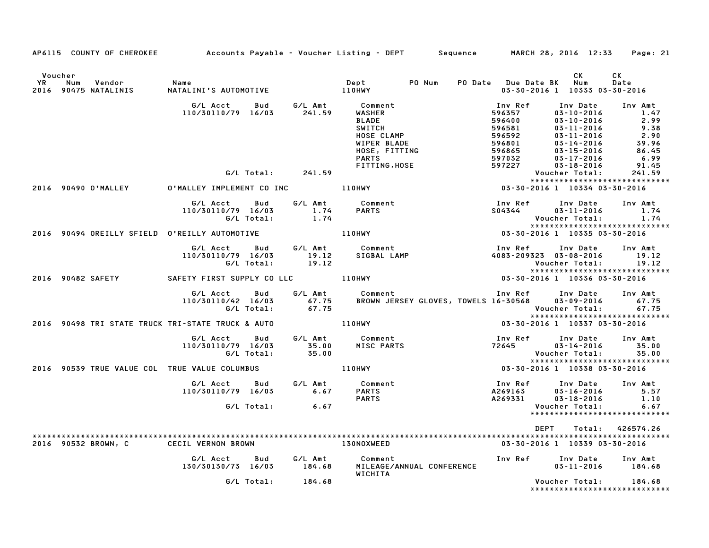| AP6115 COUNTY OF CHEROKEE Accounts Payable - Voucher Listing - DEPT Sequence MARCH 28, 2016 12:33 Page: 21                                                                                                                                 |                   |                                                                                                                                                                                                                 |                                                                             |                                                        |                  |
|--------------------------------------------------------------------------------------------------------------------------------------------------------------------------------------------------------------------------------------------|-------------------|-----------------------------------------------------------------------------------------------------------------------------------------------------------------------------------------------------------------|-----------------------------------------------------------------------------|--------------------------------------------------------|------------------|
| Voucher                                                                                                                                                                                                                                    |                   |                                                                                                                                                                                                                 |                                                                             | CK<br>03-30-2016 1 10333 03-30-2016                    | CK<br>Date       |
| 6/L Acct Bud 6/L Amt Comment Inv Ref Inv Date Inv Amt<br>110/30110/79 16/03 241.59 WASHER<br>BLADE 596581 03-10-2016 2.99<br>SWITCH 596581 03-11-2016 2.99<br>HOSE CLAMP 596581 03-11-2016 2.99<br>HOSE CLAMP 596801 03-11-2016 2.99<br>HO |                   |                                                                                                                                                                                                                 |                                                                             |                                                        |                  |
|                                                                                                                                                                                                                                            |                   |                                                                                                                                                                                                                 |                                                                             |                                                        |                  |
|                                                                                                                                                                                                                                            |                   |                                                                                                                                                                                                                 |                                                                             | *****************************                          |                  |
|                                                                                                                                                                                                                                            |                   | G/L Acct  Bud  G/L Amt  Comment<br>110/30110/79  16/03   1.74   PARTS<br>G/L Total:   1.74                                                                                                                      | Inv Ref       Inv Date     Inv Amt<br>S04344         03–11–2016        1.74 | Voucher Total:                                         | 1.74             |
|                                                                                                                                                                                                                                            |                   |                                                                                                                                                                                                                 |                                                                             |                                                        |                  |
| 6/L Acct Bud G/L Amt Comment Inv Ref Inv Date Inv Amt<br>110/30110/79 16/03 19.12 SIGBAL LAMP 4083-209323 03-08-2016 19.12<br>6/L Total: 19.12 6/L Total: 19.12 Voucher Total: 19.12<br>2016 90482 SAFETY SAFETY FIRST SUPPLY COLLC 110    |                   |                                                                                                                                                                                                                 |                                                                             |                                                        |                  |
|                                                                                                                                                                                                                                            |                   |                                                                                                                                                                                                                 |                                                                             |                                                        |                  |
|                                                                                                                                                                                                                                            |                   | G/L Acct Bud G/L Amt Comment Inv Ref Inv Date Inv Amt<br>110/30110/42 16/03 67.75 BROWN JERSEY GLOVES, TOWELS 16-30568 03-09-2016 67.75<br>6/175 - G/L Total: 67.75                                             |                                                                             |                                                        |                  |
| 2016 90498 TRI STATE TRUCK TRI-STATE TRUCK & AUTO 110HWY                                                                                                                                                                                   |                   |                                                                                                                                                                                                                 | 03-30-2016 1 10337 03-30-2016                                               |                                                        |                  |
|                                                                                                                                                                                                                                            |                   | G/L Acct Bud G/L Amt Comment               Inv Ref Inv Date Inv Amt<br>110/30110/79 16/03      35.00     MISC PARTS                              72645        03–14–2016       35.00<br>G/L Total:        35.00 |                                                                             |                                                        |                  |
|                                                                                                                                                                                                                                            |                   |                                                                                                                                                                                                                 |                                                                             |                                                        |                  |
|                                                                                                                                                                                                                                            |                   |                                                                                                                                                                                                                 |                                                                             |                                                        |                  |
|                                                                                                                                                                                                                                            | $G/L$ Total: 6.67 |                                                                                                                                                                                                                 |                                                                             |                                                        |                  |
|                                                                                                                                                                                                                                            |                   |                                                                                                                                                                                                                 | <b>DEPT</b>                                                                 |                                                        | Total: 426574.26 |
| 2016 90532 BROWN, C CECIL VERNON BROWN                                                                                                                                                                                                     |                   | 130NOXWEED                                                                                                                                                                                                      |                                                                             | 03-30-2016 1 10339 03-30-2016                          |                  |
|                                                                                                                                                                                                                                            |                   | WICHITA                                                                                                                                                                                                         |                                                                             |                                                        |                  |
|                                                                                                                                                                                                                                            | G/L Total: 184.68 |                                                                                                                                                                                                                 |                                                                             | Voucher Total: 184.68<br>***************************** |                  |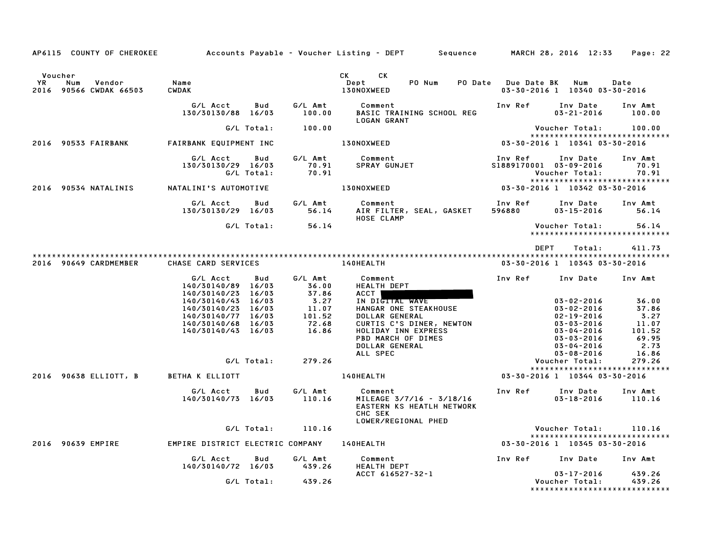| AP6115 COUNTY OF CHEROKEE                                       |                                                                                                                                                                    |                   |                                                                                  | Accounts Payable – Voucher Listing – DEPT         Sequence         MARCH 28, 2016  12:33                                                                                                                                                                             |                                   |                                                                                                                                                                            | Page: 22                                                                      |
|-----------------------------------------------------------------|--------------------------------------------------------------------------------------------------------------------------------------------------------------------|-------------------|----------------------------------------------------------------------------------|----------------------------------------------------------------------------------------------------------------------------------------------------------------------------------------------------------------------------------------------------------------------|-----------------------------------|----------------------------------------------------------------------------------------------------------------------------------------------------------------------------|-------------------------------------------------------------------------------|
| Voucher<br><b>YR</b><br>Num<br>Vendor<br>2016 90566 CWDAK 66503 | Name<br><b>CWDAK</b>                                                                                                                                               |                   |                                                                                  | CK and the set of the set of the set of the set of the set of the set of the set of the set of the set of the set of the set of the set of the set of the set of the set of the set of the set of the set of the set of the se<br>CK<br>Dept<br>PO Num<br>130NOXWEED | PO Date Due Date BK               | Num<br>03-30-2016 1 10340 03-30-2016                                                                                                                                       | Date                                                                          |
|                                                                 | G/L Acct<br>130/30130/88 16/03                                                                                                                                     | Bud               | G/L Amt<br>100.00                                                                | Comment<br>BASIC TRAINING SCHOOL REG<br><b>LOGAN GRANT</b>                                                                                                                                                                                                           | Inv Ref                           | Inv Date<br>$03 - 21 - 2016$                                                                                                                                               | Inv Amt<br>100.00                                                             |
|                                                                 |                                                                                                                                                                    | G/L Total:        | 100.00                                                                           |                                                                                                                                                                                                                                                                      |                                   | Voucher Total:                                                                                                                                                             | 100.00                                                                        |
| 2016 90533 FAIRBANK                                             | FAIRBANK EQUIPMENT INC                                                                                                                                             |                   |                                                                                  | <b>130NOXWEED</b>                                                                                                                                                                                                                                                    | 03-30-2016 1 10341 03-30-2016     | ******************************                                                                                                                                             |                                                                               |
|                                                                 | G/L Acct<br>130/30130/29 16/03                                                                                                                                     | Bud<br>G/L Total: | G/L Amt<br>70.91<br>70.91                                                        | Comment<br>SPRAY GUNJET                                                                                                                                                                                                                                              | Inv Ref<br>S1889170001 03-09-2016 | Inv Date<br>Voucher Total:                                                                                                                                                 | Inv Amt<br>70.91<br>70.91                                                     |
| 2016 90534 NATALINIS                                            | NATALINI'S AUTOMOTIVE                                                                                                                                              |                   |                                                                                  | 130NOXWEED                                                                                                                                                                                                                                                           | 03-30-2016 1 10342 03-30-2016     | *****************************                                                                                                                                              |                                                                               |
|                                                                 | G/L Acct<br>130/30130/29 16/03                                                                                                                                     | Bud               | G/L Amt<br>56.14                                                                 | Comment<br>AIR FILTER, SEAL, GASKET<br>HOSE CLAMP                                                                                                                                                                                                                    | Inv Ref<br>596880                 | Inv Date<br>$03 - 15 - 2016$                                                                                                                                               | Inv Amt<br>56.14                                                              |
|                                                                 |                                                                                                                                                                    | G/L Total:        | 56.14                                                                            |                                                                                                                                                                                                                                                                      |                                   | Voucher Total:<br>*****************************                                                                                                                            | 56.14                                                                         |
| 2016 90649 CARDMEMBER                                           | CHASE CARD SERVICES                                                                                                                                                |                   |                                                                                  | 140HEALTH                                                                                                                                                                                                                                                            | DEPT                              | Total:<br>03-30-2016 1 10343 03-30-2016                                                                                                                                    | 411.73                                                                        |
|                                                                 | G/L Acct<br>140/30140/89 16/03<br>140/30140/23 16/03<br>140/30140/43 16/03<br>140/30140/23 16/03<br>140/30140/77 16/03<br>140/30140/68 16/03<br>140/30140/43 16/03 | Bud<br>G/L Total: | G/L Amt<br>36.00<br>37.86<br>3.27<br>11.07<br>101.52<br>72.68<br>16.86<br>279.26 | Comment<br>HEALTH DEPT<br>ACCT I<br>IN DIGITAL WAVE<br>HANGAR ONE STEAKHOUSE<br>DOLLAR GENERAL<br>CURTIS C'S DINER, NEWTON<br>HOLIDAY INN EXPRESS<br>PBD MARCH OF DIMES<br>DOLLAR GENERAL<br>ALL SPEC                                                                | Inv Ref                           | Inv Date Inv Amt<br>03-02-2016<br>$03 - 02 - 2016$<br>$02 - 19 - 2016$<br>$03 - 03 - 2016$<br>03-04-2016<br>03-03-2016<br>03-04-2016<br>$03 - 08 - 2016$<br>Voucher Total: | 36.00<br>37.86<br>3.27<br>11.07<br>101.52<br>69.95<br>2.73<br>16.86<br>279.26 |
| 2016 90638 ELLIOTT, B BETHA K ELLIOTT                           |                                                                                                                                                                    |                   |                                                                                  | <b>140HEALTH</b>                                                                                                                                                                                                                                                     | 03-30-2016 1 10344 03-30-2016     | *****************************                                                                                                                                              |                                                                               |
|                                                                 | G/L Acct                                                                                                                                                           | Bud               | G/L Amt                                                                          | Comment                                                                                                                                                                                                                                                              | Inv Ref                           | Inv Date                                                                                                                                                                   | Inv Amt                                                                       |
|                                                                 | 140/30140/73 16/03                                                                                                                                                 |                   | 110.16                                                                           | MILEAGE 3/7/16 - 3/18/16<br><b>EASTERN KS HEATLH NETWORK</b><br>CHC SEK<br>LOWER/REGIONAL PHED                                                                                                                                                                       |                                   | 03-18-2016                                                                                                                                                                 | 110.16                                                                        |
|                                                                 |                                                                                                                                                                    | G/L Total:        | 110.16                                                                           |                                                                                                                                                                                                                                                                      |                                   | Voucher Total:<br>*****************************                                                                                                                            | 110.16                                                                        |
| 2016 90639 EMPIRE                                               | EMPIRE DISTRICT ELECTRIC COMPANY 140HEALTH                                                                                                                         |                   |                                                                                  |                                                                                                                                                                                                                                                                      | 03-30-2016 1 10345 03-30-2016     |                                                                                                                                                                            |                                                                               |
|                                                                 | G/L Acct<br>140/30140/72 16/03                                                                                                                                     | Bud               | G/L Amt<br>439.26                                                                | Comment<br>HEALTH DEPT                                                                                                                                                                                                                                               | Inv Ref                           | Inv Date Inv Amt                                                                                                                                                           |                                                                               |
|                                                                 |                                                                                                                                                                    | G/L Total:        | 439.26                                                                           | ACCT 616527-32-1                                                                                                                                                                                                                                                     |                                   | 03-17-2016<br>Voucher Total:<br>*****************************                                                                                                              | 439.26<br>439.26                                                              |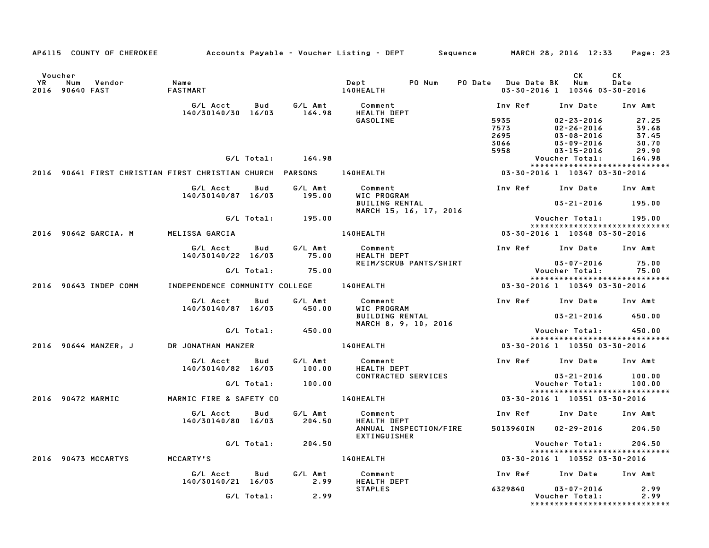|               |                        | AP6115 COUNTY OF CHEROKEE |                                                           |            |                   | Accounts Payable – Voucher Listing – DEPT         Sequence         MARCH 28, 2016  12:33 |        |                      |                                                          | Page: 23                                                       |
|---------------|------------------------|---------------------------|-----------------------------------------------------------|------------|-------------------|------------------------------------------------------------------------------------------|--------|----------------------|----------------------------------------------------------|----------------------------------------------------------------|
| Voucher<br>YR | Num<br>2016 90640 FAST | Vendor                    | Name<br>FASTMART                                          |            |                   | Dept<br>140HEALTH                                                                        | PO Num | PO Date Due Date BK  | CK<br>Num                                                | CK<br>Date<br>03-30-2016 1 10346 03-30-2016                    |
|               |                        |                           | G/L Acct<br>140/30140/30 16/03                            | Bud        | G/L Amt<br>164.98 | Comment<br><b>HEALTH DEPT</b><br><b>GASOLINE</b>                                         |        | Inv Ref<br>5935      | Inv Date<br>$02 - 23 - 2016$                             | Inv Amt<br>27.25                                               |
|               |                        |                           |                                                           |            |                   |                                                                                          |        | 7573<br>2695<br>3066 | $02 - 26 - 2016$<br>$03 - 08 - 2016$<br>$03 - 09 - 2016$ | 39.68<br>37.45<br>30.70                                        |
|               |                        |                           |                                                           | G/L Total: | 164.98            |                                                                                          |        | 5958                 | $03 - 15 - 2016$<br>Voucher Total:                       | 29.90<br>164.98                                                |
|               |                        |                           | 2016 90641 FIRST CHRISTIAN FIRST CHRISTIAN CHURCH PARSONS |            |                   | 140HEALTH                                                                                |        |                      |                                                          | *****************************<br>03-30-2016 1 10347 03-30-2016 |
|               |                        |                           | G/L Acct                                                  | Bud        | G/L Amt           | Comment                                                                                  |        | Inv Ref              | Inv Date                                                 | Inv Amt                                                        |
|               |                        |                           | 140/30140/87 16/03                                        |            | 195.00            | WIC PROGRAM<br><b>BUILING RENTAL</b><br>MARCH 15, 16, 17, 2016                           |        |                      | 03-21-2016                                               | 195.00                                                         |
|               |                        |                           |                                                           | G/L Total: | 195.00            |                                                                                          |        |                      | Voucher Total:                                           | 195.00<br>*****************************                        |
|               |                        | 2016 90642 GARCIA, M      | MELISSA GARCIA                                            |            |                   | 140HEALTH                                                                                |        |                      |                                                          | 03-30-2016 1 10348 03-30-2016                                  |
|               |                        |                           | G/L Acct<br>140/30140/22 16/03                            | Bud        | G/L Amt<br>75.00  | Comment<br><b>HEALTH DEPT</b>                                                            |        | Inv Ref              | Inv Date                                                 | Inv Amt                                                        |
|               |                        |                           |                                                           | G/L Total: | 75.00             | REIM/SCRUB PANTS/SHIRT                                                                   |        |                      | 03-07-2016<br>Voucher Total:                             | 75.00<br>75.00                                                 |
|               |                        | 2016 90643 INDEP COMM     | INDEPENDENCE COMMUNITY COLLEGE                            |            |                   | 140HEALTH                                                                                |        |                      |                                                          | *****************************<br>03-30-2016 1 10349 03-30-2016 |
|               |                        |                           | G/L Acct<br>140/30140/87 16/03                            | Bud        | G/L Amt<br>450.00 | Comment<br>WIC PROGRAM                                                                   |        | Inv Ref              | Inv Date                                                 | Inv Amt                                                        |
|               |                        |                           |                                                           |            |                   | <b>BUILDING RENTAL</b><br>MARCH 8, 9, 10, 2016                                           |        |                      | $03 - 21 - 2016$                                         | 450.00                                                         |
|               |                        |                           |                                                           | G/L Total: | 450.00            |                                                                                          |        |                      | Voucher Total:                                           | 450.00<br>*****************************                        |
|               |                        | 2016 90644 MANZER, J      | DR JONATHAN MANZER                                        |            |                   | 140HEALTH                                                                                |        |                      |                                                          | 03-30-2016 1 10350 03-30-2016                                  |
|               |                        |                           | G/L Acct<br>140/30140/82 16/03                            | Bud        | G/L Amt<br>100.00 | Comment<br>HEALTH DEPT                                                                   |        | Inv Ref              | Inv Date                                                 | Inv Amt                                                        |
|               |                        |                           |                                                           | G/L Total: | 100.00            | CONTRACTED SERVICES                                                                      |        |                      | $03 - 21 - 2016$<br>Voucher Total:                       | 100.00<br>100.00                                               |
|               |                        | 2016 90472 MARMIC         | MARMIC FIRE & SAFETY CO                                   |            |                   | 140HEALTH                                                                                |        |                      |                                                          | *****************************<br>03-30-2016 1 10351 03-30-2016 |
|               |                        |                           | G/L Acct<br>140/30140/80 16/03                            | Bud        | G/L Amt<br>204.50 | Comment<br><b>HEALTH DEPT</b>                                                            |        | Inv Ref              | Inv Date                                                 | Inv Amt                                                        |
|               |                        |                           |                                                           |            |                   | ANNUAL INSPECTION/FIRE<br><b>EXTINGUISHER</b>                                            |        | 5013960IN            | $02 - 29 - 2016$                                         | 204.50                                                         |
|               |                        |                           |                                                           | G/L Total: | 204.50            |                                                                                          |        |                      | Voucher Total:                                           | 204.50<br>*****************************                        |
|               |                        | 2016 90473 MCCARTYS       | MCCARTY'S                                                 |            |                   | 140HEALTH                                                                                |        |                      |                                                          | 03-30-2016 1 10352 03-30-2016                                  |
|               |                        |                           | G/L Acct<br>140/30140/21 16/03                            | Bud        | G/L Amt<br>2.99   | Comment<br><b>HEALTH DEPT</b>                                                            |        | Inv Ref              | Inv Date                                                 | Inv Amt                                                        |
|               |                        |                           |                                                           | G/L Total: | 2.99              | <b>STAPLES</b>                                                                           |        | 6329840              | $03 - 07 - 2016$<br>Voucher Total:                       | 2.99<br>2.99<br>*****************************                  |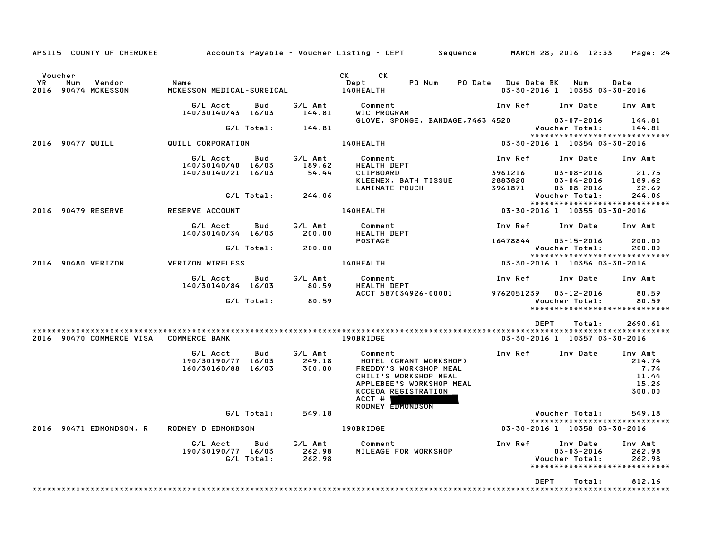| AP6115 COUNTY OF CHEROKEE                             |                                                      |                                    | Accounts Payable – Voucher Listing – DEPT Sequence                                                                                                                    |                               | MARCH 28, 2016 12:33                                                             | Page: 24                                              |
|-------------------------------------------------------|------------------------------------------------------|------------------------------------|-----------------------------------------------------------------------------------------------------------------------------------------------------------------------|-------------------------------|----------------------------------------------------------------------------------|-------------------------------------------------------|
| Voucher<br>YR<br>Num<br>Vendor<br>2016 90474 MCKESSON | Name<br>MCKESSON MEDICAL-SURGICAL                    |                                    | CK L<br>CK<br>PO Num<br>Dept<br>140HEALTH                                                                                                                             | PO Date Due Date BK           | Num<br>03-30-2016 1 10353 03-30-2016                                             | Date                                                  |
|                                                       | G/L Acct<br>140/30140/43 16/03                       | G/L Amt<br>Bud<br>144.81           | Comment<br>WIC PROGRAM                                                                                                                                                | Inv Ref                       | Inv Date                                                                         | Inv Amt                                               |
|                                                       | G/L Total:                                           | 144.81                             | GLOVE, SPONGE, BANDAGE,7463 4520                                                                                                                                      |                               | $03 - 07 - 2016$<br>Voucher Total:                                               | 144.81<br>144.81                                      |
| 2016 90477 QUILL                                      | QUILL CORPORATION                                    |                                    | 140HEALTH                                                                                                                                                             | 03-30-2016 1 10354 03-30-2016 | *****************************                                                    |                                                       |
|                                                       |                                                      |                                    |                                                                                                                                                                       |                               |                                                                                  |                                                       |
|                                                       | G/L Acct<br>140/30140/40 16/03<br>140/30140/21 16/03 | G/L Amt<br>Bud<br>189.62<br>54.44  | Comment<br><b>HEALTH DEPT</b><br>CLIPBOARD                                                                                                                            | Inv Ref<br>3961216            | Inv Date<br>$03 - 08 - 2016$                                                     | Inv Amt<br>21.75                                      |
|                                                       |                                                      |                                    | KLEENEX, BATH TISSUE<br>LAMINATE POUCH                                                                                                                                | 2883820<br>3961871            | $03 - 04 - 2016$<br>$03 - 08 - 2016$                                             | 189.62<br>32.69                                       |
|                                                       |                                                      | G/L Total: 244.06                  |                                                                                                                                                                       |                               | Voucher Total:<br>*****************************                                  | 244.06                                                |
| 2016 90479 RESERVE                                    | <b>RESERVE ACCOUNT</b>                               |                                    | 140HEALTH                                                                                                                                                             | 03-30-2016 1 10355 03-30-2016 |                                                                                  |                                                       |
|                                                       | G/L Acct<br>140/30140/34 16/03                       | G/L Amt<br>Bud<br>200.00           | Comment<br><b>HEALTH DEPT</b>                                                                                                                                         | Inv Ref Inv Date Inv Amt      |                                                                                  |                                                       |
|                                                       | G/L Total:                                           | 200.00                             | <b>POSTAGE</b>                                                                                                                                                        | 16478844                      | $03 - 15 - 2016$<br>Voucher Total:                                               | 200.00<br>200.00                                      |
|                                                       |                                                      |                                    | 140HEALTH                                                                                                                                                             |                               | *****************************                                                    |                                                       |
| 2016 90480 VERIZON                                    | VERIZON WIRELESS                                     |                                    |                                                                                                                                                                       | 03-30-2016 1 10356 03-30-2016 |                                                                                  |                                                       |
|                                                       | G/L Acct<br>140/30140/84 16/03                       | Bud<br>G/L Amt<br>80.59            | Comment<br><b>HEALTH DEPT</b>                                                                                                                                         | Inv Ref                       | Inv Date Inv Amt                                                                 |                                                       |
|                                                       | G/L Total:                                           | 80.59                              | ACCT 587034926-00001                                                                                                                                                  | 9762051239  03-12-2016        | Voucher Total:                                                                   | 80.59<br>80.59                                        |
|                                                       |                                                      |                                    |                                                                                                                                                                       |                               | ******************************                                                   |                                                       |
|                                                       |                                                      |                                    |                                                                                                                                                                       | DEPT                          | Total:                                                                           | 2690.61                                               |
| 2016 90470 COMMERCE VISA                              | <b>COMMERCE BANK</b>                                 |                                    | 190BRIDGE                                                                                                                                                             |                               | 03-30-2016 1 10357 03-30-2016                                                    |                                                       |
|                                                       | G/L Acct<br>190/30190/77 16/03<br>160/30160/88 16/03 | G/L Amt<br>Bud<br>249.18<br>300.00 | Comment<br>HOTEL (GRANT WORKSHOP)<br>FREDDY'S WORKSHOP MEAL<br>CHILI'S WORKSHOP MEAL<br>APPLEBEE'S WORKSHOP MEAL<br>KCCEOA REGISTRATION<br>ACCT #<br>RODNEY EDMONDSON | Inv Ref                       | Inv Date                                                                         | Inv Amt<br>214.74<br>7.74<br>11.44<br>15.26<br>300.00 |
|                                                       |                                                      | G/L Total:<br>549.18               |                                                                                                                                                                       |                               | Voucher Total:                                                                   | 549.18                                                |
| 2016 90471 EDMONDSON, R                               | <b>RODNEY D EDMONDSON</b>                            |                                    | 190BRIDGE                                                                                                                                                             |                               | *****************************<br>03-30-2016 1 10358 03-30-2016                   |                                                       |
|                                                       | G/L Acct<br>190/30190/77 16/03<br>G/L Total:         | G/L Amt<br>Bud<br>262.98<br>262.98 | Comment<br>MILEAGE FOR WORKSHOP                                                                                                                                       | Inv Ref                       | Inv Date<br>$03 - 03 - 2016$<br>Voucher Total:<br>****************************** | Inv Amt<br>262.98<br>262.98                           |
|                                                       |                                                      |                                    |                                                                                                                                                                       | <b>DEPT</b>                   | Total:                                                                           | 812.16                                                |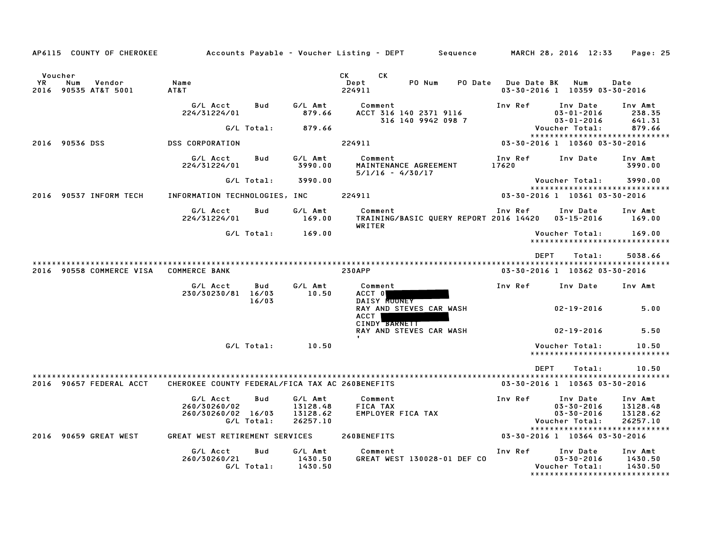| AP6115 COUNTY OF CHEROKEE                              |                                                                     |                                             | Accounts Payable – Voucher Listing – DEPT         Sequence             | MARCH 28, 2016 12:33 | Page: 25                                                                                                                                           |
|--------------------------------------------------------|---------------------------------------------------------------------|---------------------------------------------|------------------------------------------------------------------------|----------------------|----------------------------------------------------------------------------------------------------------------------------------------------------|
| Voucher<br>YR<br>Num<br>Vendor<br>2016 90535 AT&T 5001 | Name<br>AT&T                                                        |                                             | <b>CK</b><br>СK<br>Dept<br>PO Num<br>PO Date<br>224911                 | <b>Due Date BK</b>   | Num<br>Date<br>03-30-2016 1 10359 03-30-2016                                                                                                       |
|                                                        | G/L Acct<br>Bud<br>224/31224/01                                     | G/L Amt<br>879.66                           | Comment<br>ACCT 316 140 2371 9116<br>316 140 9942 098 7                | Inv Ref              | Inv Date<br>Inv Amt<br>$03 - 01 - 2016$<br>238.35<br>$03 - 01 - 2016$<br>641.31                                                                    |
|                                                        | G/L Total:                                                          | 879.66                                      |                                                                        |                      | Voucher Total:<br>879.66<br>*****************************                                                                                          |
| 2016 90536 DSS                                         | <b>DSS CORPORATION</b>                                              |                                             | 224911                                                                 |                      | 03-30-2016 1 10360 03-30-2016                                                                                                                      |
|                                                        | G/L Acct<br>Bud<br>224/31224/01                                     | G/L Amt<br>3990.00                          | Comment<br>MAINTENANCE AGREEMENT<br>$5/1/16 - 4/30/17$                 | Inv Ref<br>17620     | Inv Date<br>Inv Amt<br>3990.00                                                                                                                     |
|                                                        | G/L Total:                                                          | 3990.00                                     |                                                                        |                      | Voucher Total:<br>3990.00<br>*****************************                                                                                         |
| 2016 90537 INFORM TECH                                 | INFORMATION TECHNOLOGIES, INC                                       |                                             | 224911                                                                 |                      | 03-30-2016 1 10361 03-30-2016                                                                                                                      |
|                                                        | G/L Acct<br>Bud<br>224/31224/01                                     | G/L Amt<br>169.00                           | Comment<br>TRAINING/BASIC QUERY REPORT 2016 14420 03-15-2016<br>WRITER | Inv Ref              | Inv Date<br>Inv Amt<br>169.00                                                                                                                      |
|                                                        | G/L Total:                                                          | 169.00                                      |                                                                        |                      | 169.00<br>Voucher Total:<br>******************************                                                                                         |
| 2016 90558 COMMERCE VISA                               | <b>COMMERCE BANK</b>                                                |                                             | <b>230APP</b>                                                          | <b>DEPT</b>          | Total:<br>5038.66<br>03-30-2016 1 10362 03-30-2016                                                                                                 |
|                                                        | G/L Acct<br>Bud<br>230/30230/81<br>16/03<br>16/03                   | G/L Amt<br>10.50                            | Comment<br>ACCT 0<br>DAISY MOONEY                                      | Inv Ref              | Inv Date<br>Inv Amt                                                                                                                                |
|                                                        |                                                                     |                                             | RAY AND STEVES CAR WASH<br>ACCT<br>CINDY BARNETT                       |                      | $02 - 19 - 2016$<br>5.00                                                                                                                           |
|                                                        |                                                                     |                                             | RAY AND STEVES CAR WASH                                                |                      | $02 - 19 - 2016$<br>5.50                                                                                                                           |
|                                                        | G/L Total:                                                          | 10.50                                       |                                                                        |                      | Voucher Total:<br>10.50<br>*****************************                                                                                           |
|                                                        |                                                                     |                                             |                                                                        | <b>DEPT</b>          | Total:<br>10.50                                                                                                                                    |
| 2016 90657 FEDERAL ACCT                                | CHEROKEE COUNTY FEDERAL/FICA TAX AC 260BENEFITS                     |                                             |                                                                        |                      | 03-30-2016 1 10363 03-30-2016                                                                                                                      |
|                                                        | G/L Acct<br>Bud<br>260/30260/02<br>260/30260/02 16/03<br>G/L Total: | G/L Amt<br>13128.48<br>13128.62<br>26257.10 | Comment<br>FICA TAX<br>EMPLOYER FICA TAX                               | Inv Ref              | Inv Date<br>Inv Amt<br>$03 - 30 - 2016$<br>13128.48<br>$03 - 30 - 2016$<br>13128.62<br>Voucher Total:<br>26257.10<br>***************************** |
| 2016 90659 GREAT WEST                                  | GREAT WEST RETIREMENT SERVICES                                      |                                             | 260BENEFITS                                                            |                      | 03-30-2016 1 10364 03-30-2016                                                                                                                      |
|                                                        | G/L Acct<br>Bud<br>260/30260/21<br>G/L Total:                       | G/L Amt<br>1430.50<br>1430.50               | Comment<br>GREAT WEST 130028-01 DEF CO                                 | Inv Ref              | Inv Date<br>Inv Amt<br>$03 - 30 - 2016$<br>1430.50<br>Voucher Total:<br>1430.50<br>*****************************                                   |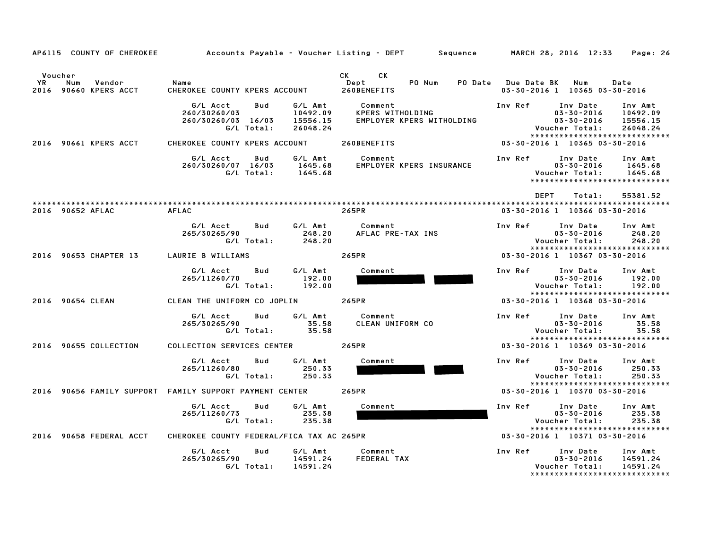| AP6115 COUNTY OF CHEROKEE                                      | Accounts Payable – Voucher Listing – DEPT         Sequence                                                         |                                                                 | MARCH 28, 2016 12:33<br>Page: 26                                                                                                                              |  |  |
|----------------------------------------------------------------|--------------------------------------------------------------------------------------------------------------------|-----------------------------------------------------------------|---------------------------------------------------------------------------------------------------------------------------------------------------------------|--|--|
| Voucher<br><b>YR</b><br>Num<br>Vendor<br>2016 90660 KPERS ACCT | Name<br>CHEROKEE COUNTY KPERS ACCOUNT                                                                              | CK<br><b>CK</b><br>Dept<br>PO Num<br>260BENEFITS                | PO Date Due Date BK<br>Num<br>Date<br>03-30-2016 1 10365 03-30-2016                                                                                           |  |  |
|                                                                | G/L Acct<br>G/L Amt<br>Bud<br>10492.09<br>260/30260/03<br>260/30260/03 16/03<br>15556.15<br>G/L Total:<br>26048.24 | Comment<br><b>KPERS WITHOLDING</b><br>EMPLOYER KPERS WITHOLDING | Inv Ref<br>Inv Date<br>Inv Amt<br>$03 - 30 - 2016$<br>10492.09<br>$03 - 30 - 2016$<br>15556.15<br>Voucher Total:<br>26048.24<br>***************************** |  |  |
| 2016 90661 KPERS ACCT                                          | CHEROKEE COUNTY KPERS ACCOUNT                                                                                      | 260BENEFITS                                                     | 03-30-2016 1 10365 03-30-2016                                                                                                                                 |  |  |
|                                                                | G/L Acct<br>Bud<br>G/L Amt<br>1645.68<br>260/30260/07 16/03<br>G/L Total:<br>1645.68                               | Comment<br>EMPLOYER KPERS INSURANCE                             | Inv Ref<br>Inv Date<br>Inv Amt<br>$03 - 30 - 2016$<br>1645.68<br>1645.68<br>Voucher Total:<br>*****************************                                   |  |  |
|                                                                |                                                                                                                    |                                                                 | <b>DEPT</b><br>Total:<br>55381.52                                                                                                                             |  |  |
| 2016 90652 AFLAC                                               | <b>AFLAC</b>                                                                                                       | 265PR                                                           | 03-30-2016 1 10366 03-30-2016                                                                                                                                 |  |  |
|                                                                | G/L Amt<br>G/L Acct<br>Bud<br>265/30265/90<br>248.20<br>G/L Total:<br>248.20                                       | Comment<br>AFLAC PRE-TAX INS                                    | Inv Ref<br>Inv Date<br>Inv Amt<br>$03 - 30 - 2016$<br>248.20<br>Voucher Total:<br>248.20                                                                      |  |  |
| 2016 90653 CHAPTER 13                                          | LAURIE B WILLIAMS                                                                                                  | 265PR                                                           | *****************************<br>03-30-2016 1 10367 03-30-2016                                                                                                |  |  |
|                                                                | G/L Amt<br>G/L Acct<br>Bud<br>265/11260/70<br>192.00<br>G/L Total:<br>192.00                                       | Comment                                                         | Inv Ref<br>Inv Date<br>Inv Amt<br>$03 - 30 - 2016$<br>192.00<br>Voucher Total:<br>192.00<br>*****************************                                     |  |  |
| 2016 90654 CLEAN                                               | CLEAN THE UNIFORM CO JOPLIN                                                                                        | 265PR                                                           | 03-30-2016 1 10368 03-30-2016                                                                                                                                 |  |  |
|                                                                | G/L Acct<br>Bud<br>G/L Amt<br>35.58<br>265/30265/90<br>G/L Total:<br>35.58                                         | Comment<br>CLEAN UNIFORM CO                                     | Inv Ref<br>Inv Date<br>Inv Amt<br>$03 - 30 - 2016$<br>35.58<br>Voucher Total:<br>35.58                                                                        |  |  |
| 2016 90655 COLLECTION                                          | COLLECTION SERVICES CENTER                                                                                         | 265PR                                                           | *****************************<br>03-30-2016 1 10369 03-30-2016                                                                                                |  |  |
|                                                                | G/L Acct<br>Bud<br>G/L Amt<br>265/11260/80<br>250.33<br>G/L Total:<br>250.33                                       | Comment                                                         | Inv Ref<br>Inv Date<br>Inv Amt<br>$03 - 30 - 2016$<br>250.33<br>Voucher Total:<br>250.33                                                                      |  |  |
|                                                                | 2016 90656 FAMILY SUPPORT FAMILY SUPPORT PAYMENT CENTER                                                            | 265PR                                                           | *****************************<br>03-30-2016 1 10370 03-30-2016                                                                                                |  |  |
|                                                                | G/L Acct<br>G/L Amt<br>Bud<br>265/11260/73<br>235.38<br>G/L Total:<br>235.38                                       | Comment                                                         | Inv Ref<br>Inv Date<br>Inv Amt<br>$03 - 30 - 2016$<br>235.38<br>Voucher Total:<br>235.38<br>*****************************                                     |  |  |
| 2016 90658 FEDERAL ACCT                                        | CHEROKEE COUNTY FEDERAL/FICA TAX AC 265PR                                                                          |                                                                 | 03-30-2016 1 10371 03-30-2016                                                                                                                                 |  |  |
|                                                                | G/L Amt<br>G/L Acct<br>Bud<br>14591.24<br>265/30265/90<br>G/L Total:<br>14591.24                                   | Comment<br><b>FEDERAL TAX</b>                                   | Inv Ref<br>Inv Date<br>Inv Amt<br>$03 - 30 - 2016$<br>14591.24<br>Voucher Total:<br>14591.24<br>*****************************                                 |  |  |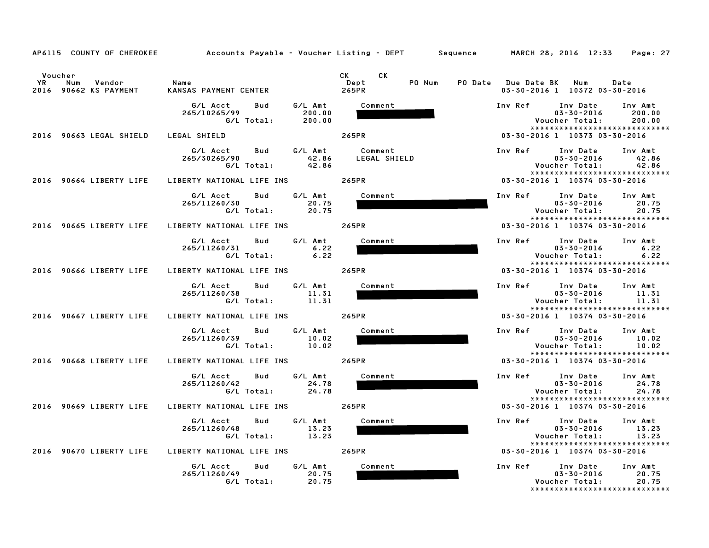|                                                                | AP6115 COUNTY OF CHEROKEE         Accounts Payable – Voucher Listing – DEPT      Sequence      MARCH 28, 2016 12:33 |                                                                                                                                                                                                                                                                 | Page: 27                                                                                                                |  |  |
|----------------------------------------------------------------|---------------------------------------------------------------------------------------------------------------------|-----------------------------------------------------------------------------------------------------------------------------------------------------------------------------------------------------------------------------------------------------------------|-------------------------------------------------------------------------------------------------------------------------|--|--|
| Voucher<br><b>YR</b><br>Num<br>Vendor<br>2016 90662 KS PAYMENT | Name<br>KANSAS PAYMENT CENTER                                                                                       | CK the control of the control of the control of the control of the control of the control of the control of the control of the control of the control of the control of the control of the control of the control of the contr<br>CK<br>Dept<br>PO Num<br>265PR | PO Date Due Date BK Num<br>Date<br>03-30-2016 1 10372 03-30-2016                                                        |  |  |
|                                                                | Bud<br>G/L Amt<br>G/L Acct<br>265/10265/99<br>200.00<br>G/L Total:<br>200.00                                        | Comment                                                                                                                                                                                                                                                         | Inv Ref Inv Date<br>Inv Amt<br>03-30-2016<br>200.00<br>Voucher Total:<br>200.00<br>*****************************        |  |  |
| 2016 90663 LEGAL SHIELD                                        | LEGAL SHIELD                                                                                                        | 265PR                                                                                                                                                                                                                                                           | 03-30-2016 1 10373 03-30-2016                                                                                           |  |  |
|                                                                | G/L Amt<br>G/L Acct Bud<br>42.86<br>265/30265/90<br>G/L Total:<br>42.86                                             | Comment<br>LEGAL SHIELD                                                                                                                                                                                                                                         | Inv Ref<br>Inv Date Inv Amt<br>$03 - 30 - 2016$<br>42.86<br>42.86<br>Voucher Total:<br>*****************************    |  |  |
| 2016 90664 LIBERTY LIFE                                        | LIBERTY NATIONAL LIFE INS 265PR                                                                                     |                                                                                                                                                                                                                                                                 | 03-30-2016 1 10374 03-30-2016                                                                                           |  |  |
|                                                                | G/L Acct<br>G/L Amt<br>Bud<br>265/11260/30<br>20.75<br>G/L Total:<br>20.75                                          | Comment                                                                                                                                                                                                                                                         | Inv Ref<br>Inv Date<br>Inv Amt<br>$03 - 30 - 2016$<br>20.75<br>20.75<br>Voucher Total:<br>***************************** |  |  |
| 2016 90665 LIBERTY LIFE                                        | LIBERTY NATIONAL LIFE INS                                                                                           | 265PR                                                                                                                                                                                                                                                           | 03-30-2016 1 10374 03-30-2016                                                                                           |  |  |
|                                                                | G/L Amt<br>G/L Acct<br>Bud<br>6.22<br>265/11260/31<br>$G/L$ Total: 6.22                                             | Comment                                                                                                                                                                                                                                                         | Inv Ref<br>Inv Date<br>Inv Amt<br>$03 - 30 - 2016$<br>6.22<br>Voucher Total:<br>6.22                                    |  |  |
| 2016 90666 LIBERTY LIFE                                        | LIBERTY NATIONAL LIFE INS 265PR                                                                                     |                                                                                                                                                                                                                                                                 | *****************************<br>03-30-2016 1 10374 03-30-2016                                                          |  |  |
|                                                                | G/L Acct<br>Bud<br>G/L Amt<br>265/11260/38<br>11.31<br>G/L Total:<br>11.31                                          | Comment                                                                                                                                                                                                                                                         | Inv Ref<br>Inv Date<br>Inv Amt<br>$03 - 30 - 2016$<br>11.31<br>Voucher Total:<br>11.31                                  |  |  |
| 2016 90667 LIBERTY LIFE                                        | LIBERTY NATIONAL LIFE INS 265PR                                                                                     |                                                                                                                                                                                                                                                                 | *****************************<br>03-30-2016 1 10374 03-30-2016                                                          |  |  |
|                                                                | G/L Amt<br>G/L Acct<br>Bud<br>265/11260/39<br>10.02<br>G/L Total:<br>10.02                                          | Comment                                                                                                                                                                                                                                                         | Inv Ref Inv Date<br>Inv Amt<br>$03 - 30 - 2016$<br>10.02<br>10.02<br>Voucher Total:<br>*****************************    |  |  |
| 2016 90668 LIBERTY LIFE                                        | LIBERTY NATIONAL LIFE INS                                                                                           | 265PR                                                                                                                                                                                                                                                           | 03-30-2016 1 10374 03-30-2016                                                                                           |  |  |
|                                                                | G/L Amt<br>G/L Acct<br>Bud<br>24.78<br>265/11260/42<br>G/L Total:<br>24.78                                          | Comment                                                                                                                                                                                                                                                         | Inv Ref<br>Inv Date<br>Inv Amt<br>24.78<br>$03 - 30 - 2016$<br>Voucher Total:<br>24.78<br>***************************** |  |  |
| 2016 90669 LIBERTY LIFE                                        | LIBERTY NATIONAL LIFE INS                                                                                           | 265PR                                                                                                                                                                                                                                                           | 03-30-2016 1 10374 03-30-2016                                                                                           |  |  |
|                                                                | G/L Amt<br>G/L Acct<br>Bud<br>265/11260/48<br>13.23<br>G/L Total:<br>13.23                                          | Comment                                                                                                                                                                                                                                                         | Inv Ref Inv Date<br>Inv Amt<br>$03 - 30 - 2016$<br>13.23<br>13.23<br>Voucher Total:<br>*****************************    |  |  |
| 2016 90670 LIBERTY LIFE                                        | LIBERTY NATIONAL LIFE INS 265PR                                                                                     |                                                                                                                                                                                                                                                                 | 03-30-2016 1 10374 03-30-2016                                                                                           |  |  |
|                                                                | G/L Amt<br>G/L Acct<br>Bud<br>265/11260/49<br>20.75<br>G/L Total:<br>20.75                                          | Comment                                                                                                                                                                                                                                                         | Inv Ref<br>Inv Date<br>Inv Amt<br>$03 - 30 - 2016$<br>20.75<br>Voucher Total:<br>20.75<br>***************************** |  |  |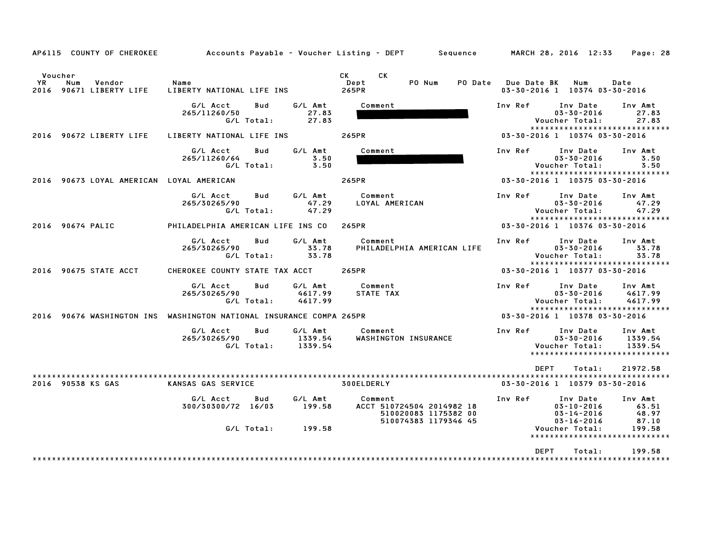| AP6115 COUNTY OF CHEROKEE                                                                                                   |                                                                                | Accounts Payable – Voucher Listing – DEPT         Sequence                           | MARCH 28, 2016 12:33<br>Page: 28                                                                                            |  |  |
|-----------------------------------------------------------------------------------------------------------------------------|--------------------------------------------------------------------------------|--------------------------------------------------------------------------------------|-----------------------------------------------------------------------------------------------------------------------------|--|--|
| Voucher<br>YR<br>Num<br>Vendor<br>2016 90671 LIBERTY LIFE                                                                   | Name<br>LIBERTY NATIONAL LIFE INS                                              | <b>CK</b><br><b>CK</b><br>Dept<br>PO Num<br>265PR                                    | PO Date Due Date BK Num<br>Date<br>03-30-2016 1 10374 03-30-2016                                                            |  |  |
|                                                                                                                             | G/L Amt<br>G/L Acct<br>Bud<br>265/11260/50<br>27.83<br>G/L Total:<br>27.83     | Comment                                                                              | Inv Ref<br>Inv Date<br>Inv Amt<br>$03 - 30 - 2016$<br>27.83<br>27.83<br>Voucher Total:<br>*****************************     |  |  |
| 2016 90672 LIBERTY LIFE                                                                                                     | LIBERTY NATIONAL LIFE INS                                                      | 265PR                                                                                | 03-30-2016 1 10374 03-30-2016                                                                                               |  |  |
|                                                                                                                             | G/L Acct<br>G/L Amt<br>Bud<br>265/11260/64<br>3.50<br>G/L Total:<br>3.50       | Comment                                                                              | Inv Ref<br>Inv Date<br>Inv Amt<br>$03 - 30 - 2016$<br>3.50<br>3.50<br>Voucher Total:<br>******************************      |  |  |
| 2016 90673 LOYAL AMERICAN LOYAL AMERICAN                                                                                    |                                                                                | 265PR                                                                                | 03-30-2016 1 10375 03-30-2016                                                                                               |  |  |
|                                                                                                                             | G/L Amt<br>G/L Acct<br>Bud<br>265/30265/90<br>47.29<br>G/L Total:<br>47.29     | Comment<br>LOYAL AMERICAN                                                            | Inv Ref<br>Inv Date<br>Inv Amt<br>$03 - 30 - 2016$<br>47.29<br>47.29<br>Voucher Total:<br>*****************************     |  |  |
| 2016 90674 PALIC                                                                                                            | PHILADELPHIA AMERICAN LIFE INS CO                                              | 265PR                                                                                | 03-30-2016 1 10376 03-30-2016                                                                                               |  |  |
|                                                                                                                             | G/L Acct<br>G/L Amt<br>Bud<br>265/30265/90<br>33.78<br>G/L Total:<br>33.78     | Comment<br>PHILADELPHIA AMERICAN LIFE                                                | Inv Ref<br>Inv Date<br>Inv Amt<br>$03 - 30 - 2016$<br>33.78<br>33.78<br>Voucher Total:<br>******************************    |  |  |
| 2016 90675 STATE ACCT                                                                                                       | CHEROKEE COUNTY STATE TAX ACCT                                                 | 265PR                                                                                | 03-30-2016 1 10377 03-30-2016                                                                                               |  |  |
|                                                                                                                             | G/L Acct<br>Bud<br>G/L Amt<br>265/30265/90<br>4617.99<br>G/L Total:<br>4617.99 | Comment<br>STATE TAX                                                                 | Inv Ref<br>Inv Date<br>Inv Amt<br>$03 - 30 - 2016$<br>4617.99<br>Voucher Total:<br>4617.99<br>***************************** |  |  |
|                                                                                                                             | 2016 90676 WASHINGTON INS WASHINGTON NATIONAL INSURANCE COMPA 265PR            |                                                                                      | 03-30-2016 1 10378 03-30-2016                                                                                               |  |  |
|                                                                                                                             | G/L Acct<br>Bud<br>G/L Amt<br>265/30265/90<br>1339.54<br>G/L Total:<br>1339.54 | Comment<br>WASHINGTON INSURANCE                                                      | Inv Ref<br>Inv Amt<br>Inv Date<br>$03 - 30 - 2016$<br>1339.54<br>Voucher Total:<br>1339.54<br>***************************** |  |  |
| <b>DEPT</b><br>Total:<br>21972.58<br>2016 90538 KS GAS<br>KANSAS GAS SERVICE<br>300ELDERLY<br>03-30-2016 1 10379 03-30-2016 |                                                                                |                                                                                      |                                                                                                                             |  |  |
|                                                                                                                             | G/L Amt<br>G/L Acct<br>Bud<br>300/30300/72 16/03<br>199.58                     | Comment<br>ACCT 510724504 2014982 18<br>510020083 1175382 00<br>510074383 1179346 45 | Inv Ref<br>Inv Date<br>Inv Amt<br>$03 - 10 - 2016$<br>63.51<br>03-14-2016<br>48.97<br>$03 - 16 - 2016$<br>87.10             |  |  |
|                                                                                                                             | G/L Total:<br>199.58                                                           |                                                                                      | Voucher Total:<br>199.58<br>*****************************                                                                   |  |  |
|                                                                                                                             |                                                                                |                                                                                      | <b>DEPT</b><br>Total:<br>199.58                                                                                             |  |  |